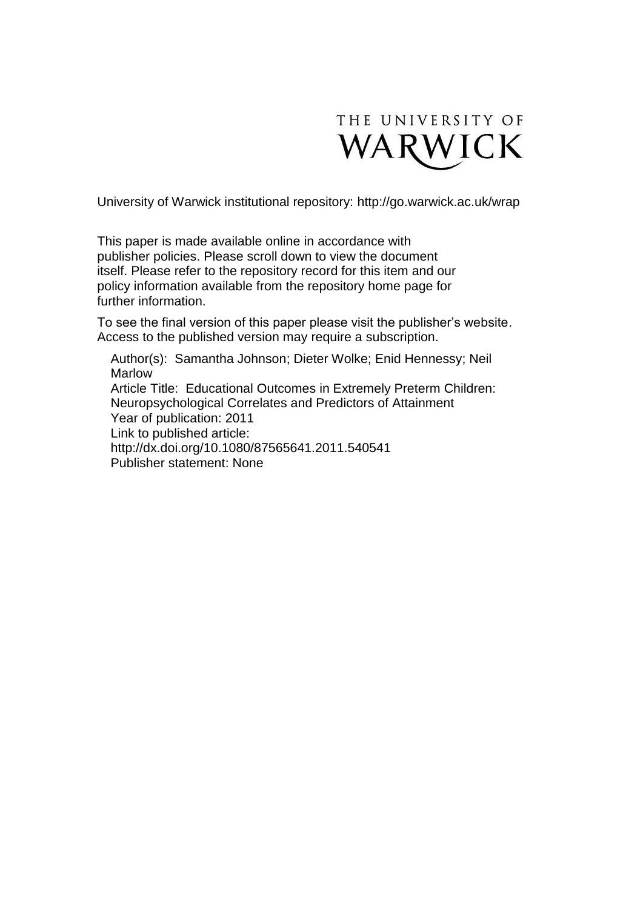

University of Warwick institutional repository:<http://go.warwick.ac.uk/wrap>

This paper is made available online in accordance with publisher policies. Please scroll down to view the document itself. Please refer to the repository record for this item and our policy information available from the repository home page for further information.

To see the final version of this paper please visit the publisher's website. Access to the published version may require a subscription.

Author(s): Samantha Johnson; Dieter Wolke; Enid Hennessy; Neil Marlow Article Title: Educational Outcomes in Extremely Preterm Children: Neuropsychological Correlates and Predictors of Attainment Year of publication: 2011 Link to published article: http://dx.doi.org/10.1080/87565641.2011.540541 Publisher statement: None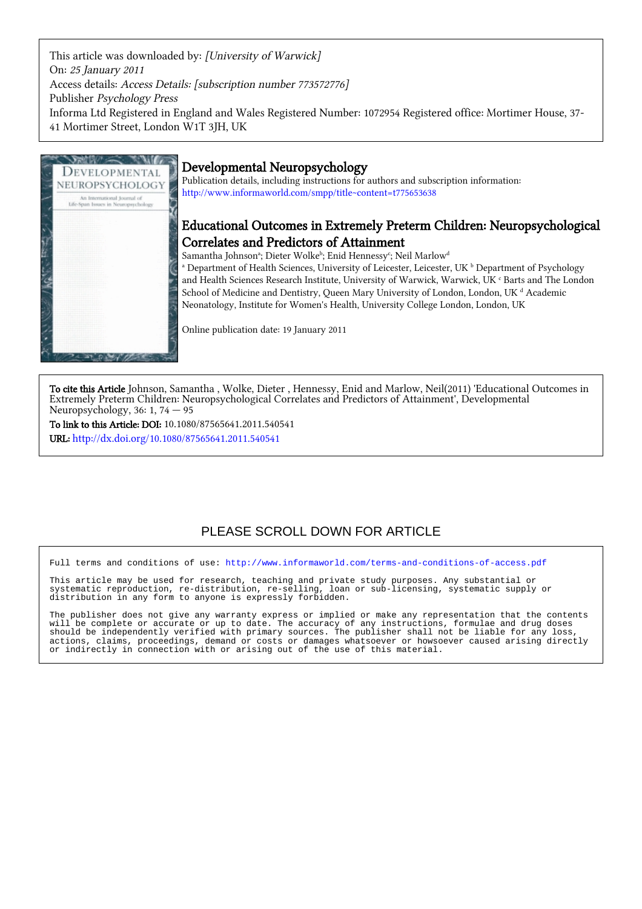This article was downloaded by: [University of Warwick] On: 25 January 2011 Access details: Access Details: [subscription number 773572776] Publisher Psychology Press Informa Ltd Registered in England and Wales Registered Number: 1072954 Registered office: Mortimer House, 37- 41 Mortimer Street, London W1T 3JH, UK



# Developmental Neuropsychology

Publication details, including instructions for authors and subscription information: <http://www.informaworld.com/smpp/title~content=t775653638>

# Educational Outcomes in Extremely Preterm Children: Neuropsychological Correlates and Predictors of Attainment

Samantha Johnsonª; Dieter Wolke<sup>ь</sup>; Enid Hennessy<sup>c</sup>; Neil Marlow<sup>d</sup>

<sup>a</sup> Department of Health Sciences, University of Leicester, Leicester, UK <sup>b</sup> Department of Psychology and Health Sciences Research Institute, University of Warwick, Warwick, UK  $\rm ^c$  Barts and The London School of Medicine and Dentistry, Queen Mary University of London, London, UK<sup>d</sup> Academic Neonatology, Institute for Women's Health, University College London, London, UK

Online publication date: 19 January 2011

To cite this Article Johnson, Samantha , Wolke, Dieter , Hennessy, Enid and Marlow, Neil(2011) 'Educational Outcomes in Extremely Preterm Children: Neuropsychological Correlates and Predictors of Attainment', Developmental Neuropsychology, 36: 1, 74 — 95

To link to this Article: DOI: 10.1080/87565641.2011.540541 URL: <http://dx.doi.org/10.1080/87565641.2011.540541>

# PLEASE SCROLL DOWN FOR ARTICLE

Full terms and conditions of use:<http://www.informaworld.com/terms-and-conditions-of-access.pdf>

This article may be used for research, teaching and private study purposes. Any substantial or systematic reproduction, re-distribution, re-selling, loan or sub-licensing, systematic supply or distribution in any form to anyone is expressly forbidden.

The publisher does not give any warranty express or implied or make any representation that the contents will be complete or accurate or up to date. The accuracy of any instructions, formulae and drug doses should be independently verified with primary sources. The publisher shall not be liable for any loss, actions, claims, proceedings, demand or costs or damages whatsoever or howsoever caused arising directly or indirectly in connection with or arising out of the use of this material.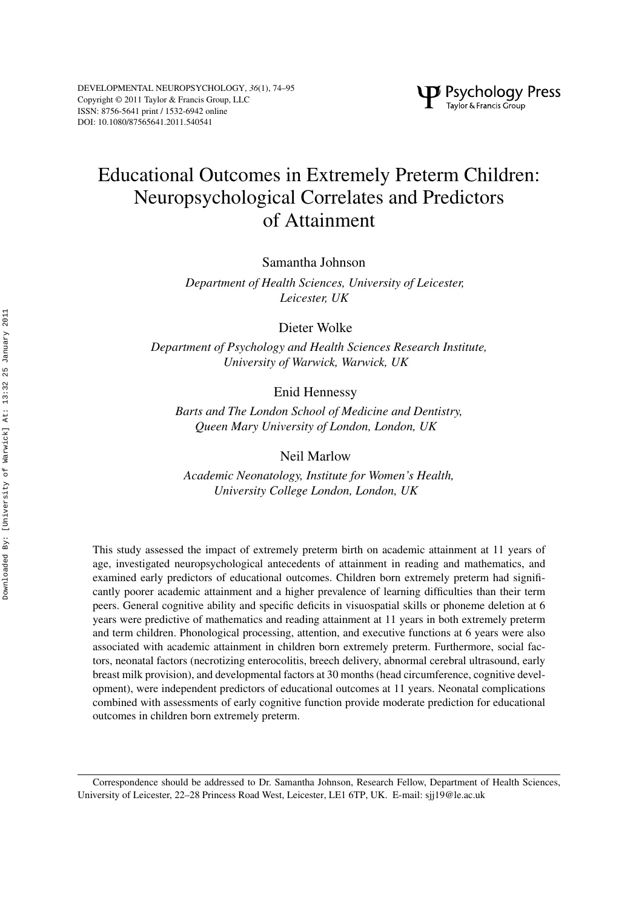# Educational Outcomes in Extremely Preterm Children: Neuropsychological Correlates and Predictors of Attainment

Samantha Johnson

*Department of Health Sciences, University of Leicester, Leicester, UK*

Dieter Wolke

*Department of Psychology and Health Sciences Research Institute, University of Warwick, Warwick, UK*

Enid Hennessy

*Barts and The London School of Medicine and Dentistry, Queen Mary University of London, London, UK*

Neil Marlow

*Academic Neonatology, Institute for Women's Health, University College London, London, UK*

This study assessed the impact of extremely preterm birth on academic attainment at 11 years of age, investigated neuropsychological antecedents of attainment in reading and mathematics, and examined early predictors of educational outcomes. Children born extremely preterm had significantly poorer academic attainment and a higher prevalence of learning difficulties than their term peers. General cognitive ability and specific deficits in visuospatial skills or phoneme deletion at 6 years were predictive of mathematics and reading attainment at 11 years in both extremely preterm and term children. Phonological processing, attention, and executive functions at 6 years were also associated with academic attainment in children born extremely preterm. Furthermore, social factors, neonatal factors (necrotizing enterocolitis, breech delivery, abnormal cerebral ultrasound, early breast milk provision), and developmental factors at 30 months (head circumference, cognitive development), were independent predictors of educational outcomes at 11 years. Neonatal complications combined with assessments of early cognitive function provide moderate prediction for educational outcomes in children born extremely preterm.

Correspondence should be addressed to Dr. Samantha Johnson, Research Fellow, Department of Health Sciences, University of Leicester, 22–28 Princess Road West, Leicester, LE1 6TP, UK. E-mail: sjj19@le.ac.uk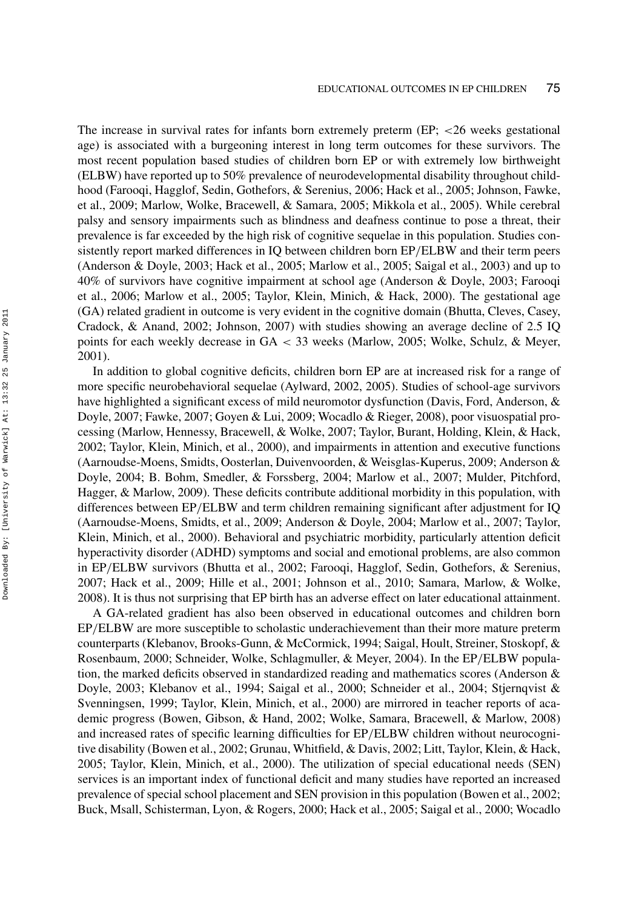The increase in survival rates for infants born extremely preterm (EP; *<*26 weeks gestational age) is associated with a burgeoning interest in long term outcomes for these survivors. The most recent population based studies of children born EP or with extremely low birthweight (ELBW) have reported up to 50% prevalence of neurodevelopmental disability throughout childhood (Farooqi, Hagglof, Sedin, Gothefors, & Serenius, 2006; Hack et al., 2005; Johnson, Fawke, et al., 2009; Marlow, Wolke, Bracewell, & Samara, 2005; Mikkola et al., 2005). While cerebral palsy and sensory impairments such as blindness and deafness continue to pose a threat, their prevalence is far exceeded by the high risk of cognitive sequelae in this population. Studies consistently report marked differences in IQ between children born EP*/*ELBW and their term peers (Anderson & Doyle, 2003; Hack et al., 2005; Marlow et al., 2005; Saigal et al., 2003) and up to 40% of survivors have cognitive impairment at school age (Anderson & Doyle, 2003; Farooqi et al., 2006; Marlow et al., 2005; Taylor, Klein, Minich, & Hack, 2000). The gestational age (GA) related gradient in outcome is very evident in the cognitive domain (Bhutta, Cleves, Casey, Cradock, & Anand, 2002; Johnson, 2007) with studies showing an average decline of 2.5 IQ points for each weekly decrease in GA *<* 33 weeks (Marlow, 2005; Wolke, Schulz, & Meyer, 2001).

In addition to global cognitive deficits, children born EP are at increased risk for a range of more specific neurobehavioral sequelae (Aylward, 2002, 2005). Studies of school-age survivors have highlighted a significant excess of mild neuromotor dysfunction (Davis, Ford, Anderson, & Doyle, 2007; Fawke, 2007; Goyen & Lui, 2009; Wocadlo & Rieger, 2008), poor visuospatial processing (Marlow, Hennessy, Bracewell, & Wolke, 2007; Taylor, Burant, Holding, Klein, & Hack, 2002; Taylor, Klein, Minich, et al., 2000), and impairments in attention and executive functions (Aarnoudse-Moens, Smidts, Oosterlan, Duivenvoorden, & Weisglas-Kuperus, 2009; Anderson & Doyle, 2004; B. Bohm, Smedler, & Forssberg, 2004; Marlow et al., 2007; Mulder, Pitchford, Hagger, & Marlow, 2009). These deficits contribute additional morbidity in this population, with differences between EP*/*ELBW and term children remaining significant after adjustment for IQ (Aarnoudse-Moens, Smidts, et al., 2009; Anderson & Doyle, 2004; Marlow et al., 2007; Taylor, Klein, Minich, et al., 2000). Behavioral and psychiatric morbidity, particularly attention deficit hyperactivity disorder (ADHD) symptoms and social and emotional problems, are also common in EP*/*ELBW survivors (Bhutta et al., 2002; Farooqi, Hagglof, Sedin, Gothefors, & Serenius, 2007; Hack et al., 2009; Hille et al., 2001; Johnson et al., 2010; Samara, Marlow, & Wolke, 2008). It is thus not surprising that EP birth has an adverse effect on later educational attainment.

A GA-related gradient has also been observed in educational outcomes and children born EP*/*ELBW are more susceptible to scholastic underachievement than their more mature preterm counterparts (Klebanov, Brooks-Gunn, & McCormick, 1994; Saigal, Hoult, Streiner, Stoskopf, & Rosenbaum, 2000; Schneider, Wolke, Schlagmuller, & Meyer, 2004). In the EP*/*ELBW population, the marked deficits observed in standardized reading and mathematics scores (Anderson & Doyle, 2003; Klebanov et al., 1994; Saigal et al., 2000; Schneider et al., 2004; Stjernqvist & Svenningsen, 1999; Taylor, Klein, Minich, et al., 2000) are mirrored in teacher reports of academic progress (Bowen, Gibson, & Hand, 2002; Wolke, Samara, Bracewell, & Marlow, 2008) and increased rates of specific learning difficulties for EP*/*ELBW children without neurocognitive disability (Bowen et al., 2002; Grunau, Whitfield, & Davis, 2002; Litt, Taylor, Klein, & Hack, 2005; Taylor, Klein, Minich, et al., 2000). The utilization of special educational needs (SEN) services is an important index of functional deficit and many studies have reported an increased prevalence of special school placement and SEN provision in this population (Bowen et al., 2002; Buck, Msall, Schisterman, Lyon, & Rogers, 2000; Hack et al., 2005; Saigal et al., 2000; Wocadlo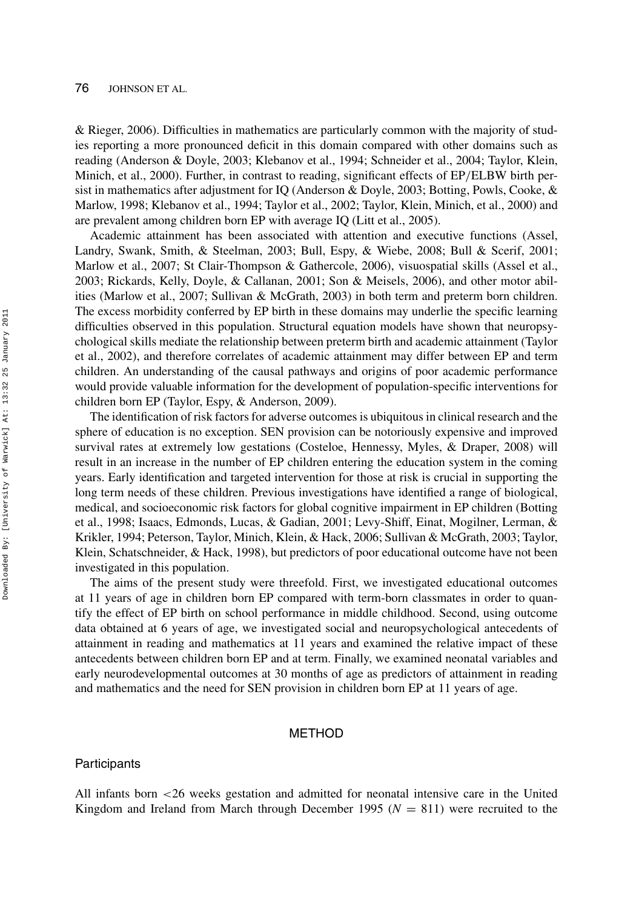& Rieger, 2006). Difficulties in mathematics are particularly common with the majority of studies reporting a more pronounced deficit in this domain compared with other domains such as reading (Anderson & Doyle, 2003; Klebanov et al., 1994; Schneider et al., 2004; Taylor, Klein, Minich, et al., 2000). Further, in contrast to reading, significant effects of EP*/*ELBW birth persist in mathematics after adjustment for IQ (Anderson & Doyle, 2003; Botting, Powls, Cooke, & Marlow, 1998; Klebanov et al., 1994; Taylor et al., 2002; Taylor, Klein, Minich, et al., 2000) and are prevalent among children born EP with average IQ (Litt et al., 2005).

Academic attainment has been associated with attention and executive functions (Assel, Landry, Swank, Smith, & Steelman, 2003; Bull, Espy, & Wiebe, 2008; Bull & Scerif, 2001; Marlow et al., 2007; St Clair-Thompson & Gathercole, 2006), visuospatial skills (Assel et al., 2003; Rickards, Kelly, Doyle, & Callanan, 2001; Son & Meisels, 2006), and other motor abilities (Marlow et al., 2007; Sullivan & McGrath, 2003) in both term and preterm born children. The excess morbidity conferred by EP birth in these domains may underlie the specific learning difficulties observed in this population. Structural equation models have shown that neuropsychological skills mediate the relationship between preterm birth and academic attainment (Taylor et al., 2002), and therefore correlates of academic attainment may differ between EP and term children. An understanding of the causal pathways and origins of poor academic performance would provide valuable information for the development of population-specific interventions for children born EP (Taylor, Espy, & Anderson, 2009).

The identification of risk factors for adverse outcomes is ubiquitous in clinical research and the sphere of education is no exception. SEN provision can be notoriously expensive and improved survival rates at extremely low gestations (Costeloe, Hennessy, Myles, & Draper, 2008) will result in an increase in the number of EP children entering the education system in the coming years. Early identification and targeted intervention for those at risk is crucial in supporting the long term needs of these children. Previous investigations have identified a range of biological, medical, and socioeconomic risk factors for global cognitive impairment in EP children (Botting et al., 1998; Isaacs, Edmonds, Lucas, & Gadian, 2001; Levy-Shiff, Einat, Mogilner, Lerman, & Krikler, 1994; Peterson, Taylor, Minich, Klein, & Hack, 2006; Sullivan & McGrath, 2003; Taylor, Klein, Schatschneider, & Hack, 1998), but predictors of poor educational outcome have not been investigated in this population.

The aims of the present study were threefold. First, we investigated educational outcomes at 11 years of age in children born EP compared with term-born classmates in order to quantify the effect of EP birth on school performance in middle childhood. Second, using outcome data obtained at 6 years of age, we investigated social and neuropsychological antecedents of attainment in reading and mathematics at 11 years and examined the relative impact of these antecedents between children born EP and at term. Finally, we examined neonatal variables and early neurodevelopmental outcomes at 30 months of age as predictors of attainment in reading and mathematics and the need for SEN provision in children born EP at 11 years of age.

# METHOD

# **Participants**

All infants born *<*26 weeks gestation and admitted for neonatal intensive care in the United Kingdom and Ireland from March through December 1995 ( $N = 811$ ) were recruited to the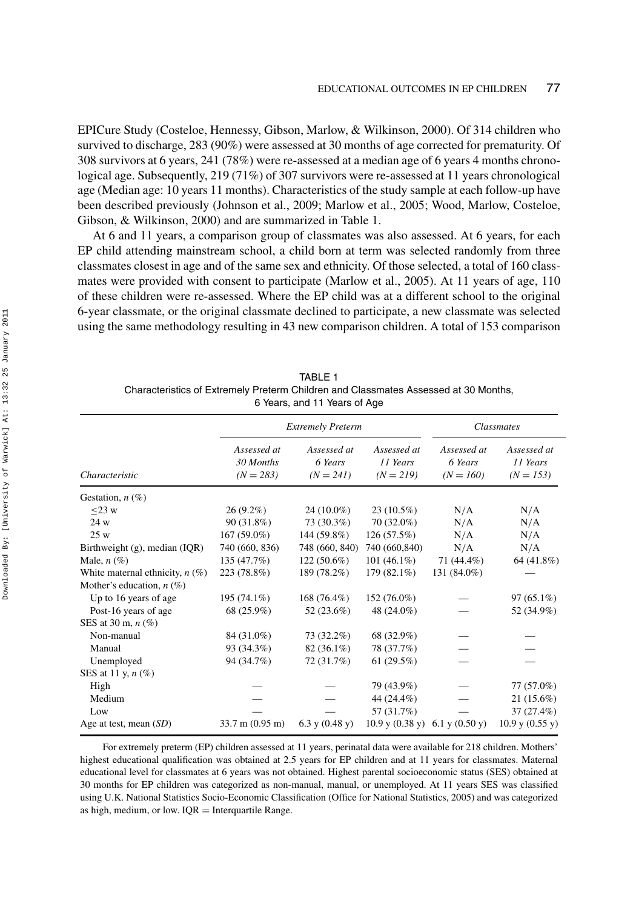EPICure Study (Costeloe, Hennessy, Gibson, Marlow, & Wilkinson, 2000). Of 314 children who survived to discharge, 283 (90%) were assessed at 30 months of age corrected for prematurity. Of 308 survivors at 6 years, 241 (78%) were re-assessed at a median age of 6 years 4 months chronological age. Subsequently, 219 (71%) of 307 survivors were re-assessed at 11 years chronological age (Median age: 10 years 11 months). Characteristics of the study sample at each follow-up have been described previously (Johnson et al., 2009; Marlow et al., 2005; Wood, Marlow, Costeloe, Gibson, & Wilkinson, 2000) and are summarized in Table 1.

At 6 and 11 years, a comparison group of classmates was also assessed. At 6 years, for each EP child attending mainstream school, a child born at term was selected randomly from three classmates closest in age and of the same sex and ethnicity. Of those selected, a total of 160 classmates were provided with consent to participate (Marlow et al., 2005). At 11 years of age, 110 of these children were re-assessed. Where the EP child was at a different school to the original 6-year classmate, or the original classmate declined to participate, a new classmate was selected using the same methodology resulting in 43 new comparison children. A total of 153 comparison

|                                    |                                         | roard, and in roard or rigo           |                                        |                                       |                                        |
|------------------------------------|-----------------------------------------|---------------------------------------|----------------------------------------|---------------------------------------|----------------------------------------|
|                                    |                                         | <b>Extremely Preterm</b>              |                                        |                                       | Classmates                             |
| Characteristic                     | Assessed at<br>30 Months<br>$(N = 283)$ | Assessed at<br>6 Years<br>$(N = 241)$ | Assessed at<br>11 Years<br>$(N = 219)$ | Assessed at<br>6 Years<br>$(N = 160)$ | Assessed at<br>11 Years<br>$(N = 153)$ |
| Gestation, $n$ (%)                 |                                         |                                       |                                        |                                       |                                        |
| $\leq$ 23 w                        | $26(9.2\%)$                             | 24 (10.0%)                            | $23(10.5\%)$                           | N/A                                   | N/A                                    |
| 24 w                               | 90 (31.8%)                              | 73 (30.3%)                            | $70(32.0\%)$                           | N/A                                   | N/A                                    |
| 25 w                               | $167(59.0\%)$                           | 144 (59.8%)                           | 126(57.5%)                             | N/A                                   | N/A                                    |
| Birthweight $(g)$ , median $(IQR)$ | 740 (660, 836)                          | 748 (660, 840)                        | 740 (660,840)                          | N/A                                   | N/A                                    |
| Male, $n(\%)$                      | 135 (47.7%)                             | $122(50.6\%)$                         | 101 $(46.1\%)$                         | 71 (44.4%)                            | 64 (41.8%)                             |
| White maternal ethnicity, $n(\%)$  | 223 (78.8%)                             | 189 (78.2%)                           | 179 (82.1%)                            | 131 (84.0%)                           |                                        |
| Mother's education, $n$ (%)        |                                         |                                       |                                        |                                       |                                        |
| Up to 16 years of age              | 195 (74.1%)                             | 168 (76.4%)                           | 152 (76.0%)                            |                                       | $97(65.1\%)$                           |
| Post-16 years of age               | 68 (25.9%)                              | 52 (23.6%)                            | 48 (24.0%)                             |                                       | 52 (34.9%)                             |
| SES at 30 m, $n$ (%)               |                                         |                                       |                                        |                                       |                                        |
| Non-manual                         | 84 (31.0%)                              | 73 (32.2%)                            | 68 (32.9%)                             |                                       |                                        |
| Manual                             | 93 (34.3%)                              | 82 (36.1%)                            | 78 (37.7%)                             |                                       |                                        |
| Unemployed                         | 94 (34.7%)                              | 72 (31.7%)                            | 61(29.5%)                              |                                       |                                        |
| SES at 11 y, $n$ $(\%)$            |                                         |                                       |                                        |                                       |                                        |
| High                               |                                         |                                       | 79 (43.9%)                             |                                       | 77 (57.0%)                             |
| Medium                             |                                         |                                       | 44 (24.4%)                             |                                       | 21 (15.6%)                             |
| Low                                |                                         |                                       | 57 (31.7%)                             |                                       | 37 (27.4%)                             |
| Age at test, mean $(SD)$           | $33.7 \text{ m} (0.95 \text{ m})$       | 6.3 y $(0.48 y)$                      | $10.9$ y $(0.38$ y) 6.1 y $(0.50$ y)   |                                       | $10.9$ y $(0.55$ y)                    |

TABLE 1 Characteristics of Extremely Preterm Children and Classmates Assessed at 30 Months, 6 Years, and 11 Years of Age

For extremely preterm (EP) children assessed at 11 years, perinatal data were available for 218 children. Mothers' highest educational qualification was obtained at 2.5 years for EP children and at 11 years for classmates. Maternal educational level for classmates at 6 years was not obtained. Highest parental socioeconomic status (SES) obtained at 30 months for EP children was categorized as non-manual, manual, or unemployed. At 11 years SES was classified using U.K. National Statistics Socio-Economic Classification (Office for National Statistics, 2005) and was categorized as high, medium, or low.  $IQR = Integrating Range$ .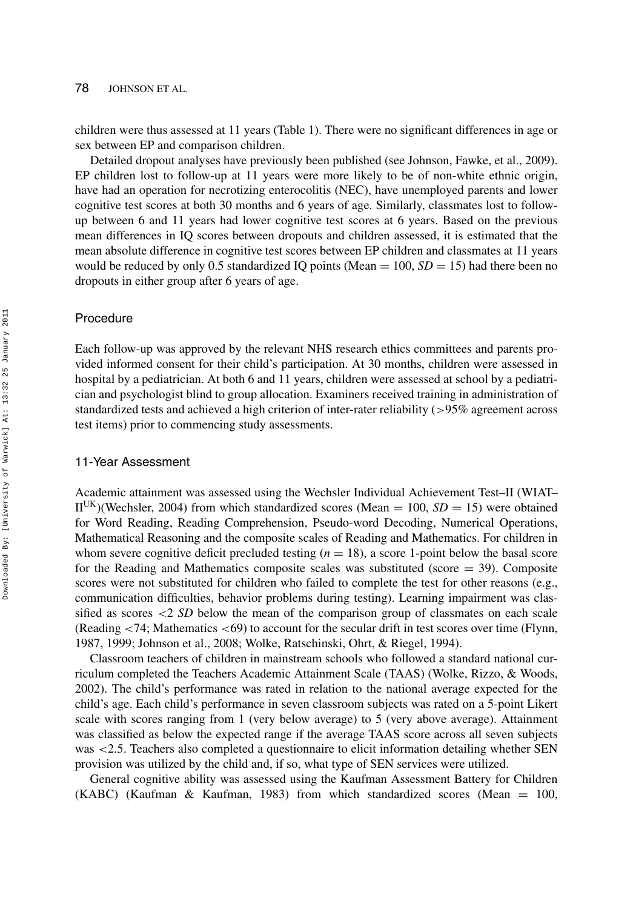# 78 JOHNSON ET AL.

children were thus assessed at 11 years (Table 1). There were no significant differences in age or sex between EP and comparison children.

Detailed dropout analyses have previously been published (see Johnson, Fawke, et al., 2009). EP children lost to follow-up at 11 years were more likely to be of non-white ethnic origin, have had an operation for necrotizing enterocolitis (NEC), have unemployed parents and lower cognitive test scores at both 30 months and 6 years of age. Similarly, classmates lost to followup between 6 and 11 years had lower cognitive test scores at 6 years. Based on the previous mean differences in IQ scores between dropouts and children assessed, it is estimated that the mean absolute difference in cognitive test scores between EP children and classmates at 11 years would be reduced by only 0.5 standardized IQ points (Mean  $= 100$ ,  $SD = 15$ ) had there been no dropouts in either group after 6 years of age.

# Procedure

Each follow-up was approved by the relevant NHS research ethics committees and parents provided informed consent for their child's participation. At 30 months, children were assessed in hospital by a pediatrician. At both 6 and 11 years, children were assessed at school by a pediatrician and psychologist blind to group allocation. Examiners received training in administration of standardized tests and achieved a high criterion of inter-rater reliability (*>*95% agreement across test items) prior to commencing study assessments.

# 11-Year Assessment

Academic attainment was assessed using the Wechsler Individual Achievement Test–II (WIAT–  $II^{UK}$ )(Wechsler, 2004) from which standardized scores (Mean = 100,  $SD = 15$ ) were obtained for Word Reading, Reading Comprehension, Pseudo-word Decoding, Numerical Operations, Mathematical Reasoning and the composite scales of Reading and Mathematics. For children in whom severe cognitive deficit precluded testing  $(n = 18)$ , a score 1-point below the basal score for the Reading and Mathematics composite scales was substituted (score  $=$  39). Composite scores were not substituted for children who failed to complete the test for other reasons (e.g., communication difficulties, behavior problems during testing). Learning impairment was classified as scores *<*2 *SD* below the mean of the comparison group of classmates on each scale (Reading *<*74; Mathematics *<*69) to account for the secular drift in test scores over time (Flynn, 1987, 1999; Johnson et al., 2008; Wolke, Ratschinski, Ohrt, & Riegel, 1994).

Classroom teachers of children in mainstream schools who followed a standard national curriculum completed the Teachers Academic Attainment Scale (TAAS) (Wolke, Rizzo, & Woods, 2002). The child's performance was rated in relation to the national average expected for the child's age. Each child's performance in seven classroom subjects was rated on a 5-point Likert scale with scores ranging from 1 (very below average) to 5 (very above average). Attainment was classified as below the expected range if the average TAAS score across all seven subjects was *<*2.5. Teachers also completed a questionnaire to elicit information detailing whether SEN provision was utilized by the child and, if so, what type of SEN services were utilized.

General cognitive ability was assessed using the Kaufman Assessment Battery for Children (KABC) (Kaufman & Kaufman, 1983) from which standardized scores (Mean = 100,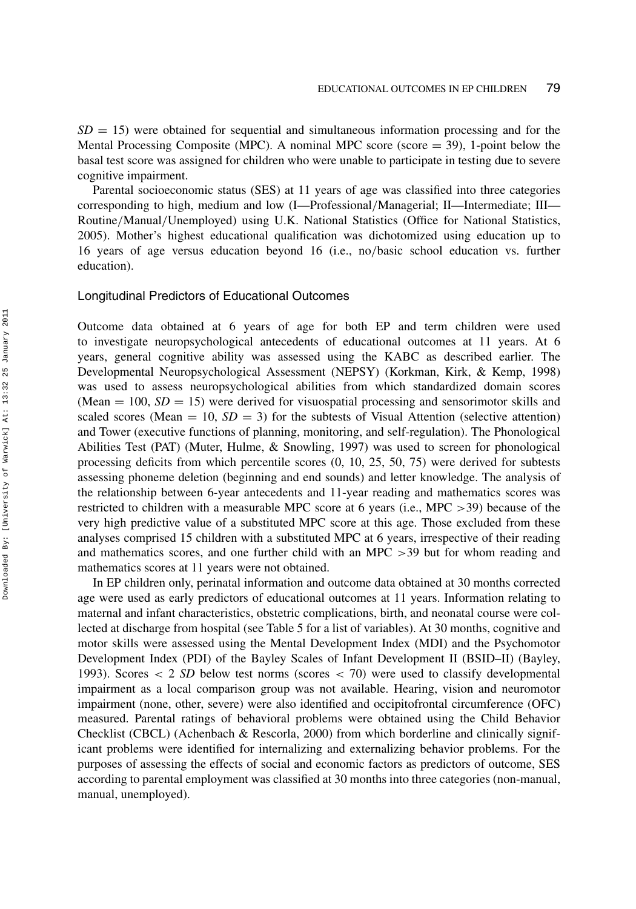$SD = 15$ ) were obtained for sequential and simultaneous information processing and for the Mental Processing Composite (MPC). A nominal MPC score (score  $=$  39), 1-point below the basal test score was assigned for children who were unable to participate in testing due to severe cognitive impairment.

Parental socioeconomic status (SES) at 11 years of age was classified into three categories corresponding to high, medium and low (I—Professional*/*Managerial; II—Intermediate; III— Routine*/*Manual*/*Unemployed) using U.K. National Statistics (Office for National Statistics, 2005). Mother's highest educational qualification was dichotomized using education up to 16 years of age versus education beyond 16 (i.e., no*/*basic school education vs. further education).

#### Longitudinal Predictors of Educational Outcomes

Outcome data obtained at 6 years of age for both EP and term children were used to investigate neuropsychological antecedents of educational outcomes at 11 years. At 6 years, general cognitive ability was assessed using the KABC as described earlier. The Developmental Neuropsychological Assessment (NEPSY) (Korkman, Kirk, & Kemp, 1998) was used to assess neuropsychological abilities from which standardized domain scores (Mean  $= 100$ ,  $SD = 15$ ) were derived for visuospatial processing and sensorimotor skills and scaled scores (Mean  $= 10$ ,  $SD = 3$ ) for the subtests of Visual Attention (selective attention) and Tower (executive functions of planning, monitoring, and self-regulation). The Phonological Abilities Test (PAT) (Muter, Hulme, & Snowling, 1997) was used to screen for phonological processing deficits from which percentile scores (0, 10, 25, 50, 75) were derived for subtests assessing phoneme deletion (beginning and end sounds) and letter knowledge. The analysis of the relationship between 6-year antecedents and 11-year reading and mathematics scores was restricted to children with a measurable MPC score at 6 years (i.e., MPC *>*39) because of the very high predictive value of a substituted MPC score at this age. Those excluded from these analyses comprised 15 children with a substituted MPC at 6 years, irrespective of their reading and mathematics scores, and one further child with an MPC *>*39 but for whom reading and mathematics scores at 11 years were not obtained.

In EP children only, perinatal information and outcome data obtained at 30 months corrected age were used as early predictors of educational outcomes at 11 years. Information relating to maternal and infant characteristics, obstetric complications, birth, and neonatal course were collected at discharge from hospital (see Table 5 for a list of variables). At 30 months, cognitive and motor skills were assessed using the Mental Development Index (MDI) and the Psychomotor Development Index (PDI) of the Bayley Scales of Infant Development II (BSID–II) (Bayley, 1993). Scores *<* 2 *SD* below test norms (scores *<* 70) were used to classify developmental impairment as a local comparison group was not available. Hearing, vision and neuromotor impairment (none, other, severe) were also identified and occipitofrontal circumference (OFC) measured. Parental ratings of behavioral problems were obtained using the Child Behavior Checklist (CBCL) (Achenbach & Rescorla, 2000) from which borderline and clinically significant problems were identified for internalizing and externalizing behavior problems. For the purposes of assessing the effects of social and economic factors as predictors of outcome, SES according to parental employment was classified at 30 months into three categories (non-manual, manual, unemployed).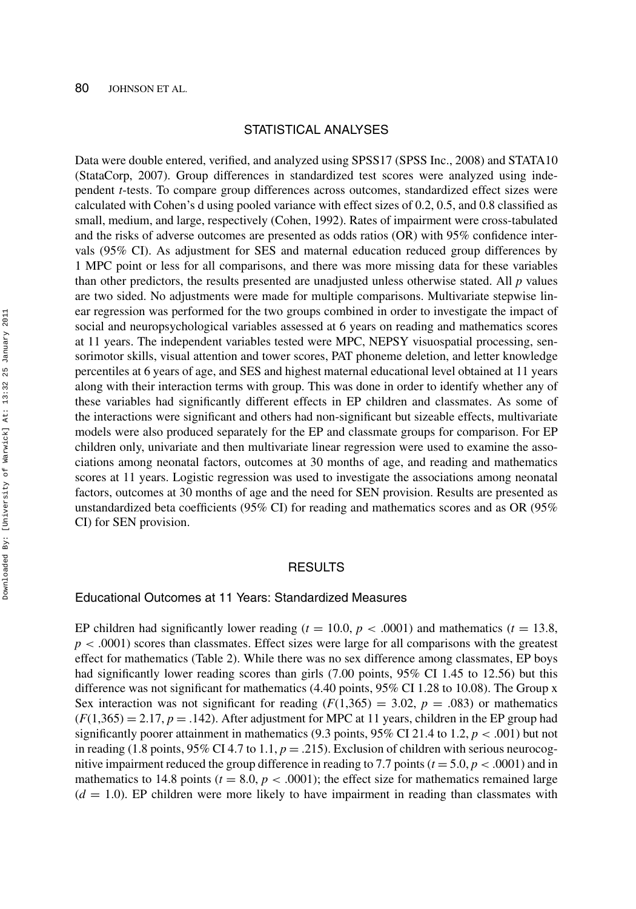# STATISTICAL ANALYSES

Data were double entered, verified, and analyzed using SPSS17 (SPSS Inc., 2008) and STATA10 (StataCorp, 2007). Group differences in standardized test scores were analyzed using independent *t*-tests. To compare group differences across outcomes, standardized effect sizes were calculated with Cohen's d using pooled variance with effect sizes of 0.2, 0.5, and 0.8 classified as small, medium, and large, respectively (Cohen, 1992). Rates of impairment were cross-tabulated and the risks of adverse outcomes are presented as odds ratios (OR) with 95% confidence intervals (95% CI). As adjustment for SES and maternal education reduced group differences by 1 MPC point or less for all comparisons, and there was more missing data for these variables than other predictors, the results presented are unadjusted unless otherwise stated. All *p* values are two sided. No adjustments were made for multiple comparisons. Multivariate stepwise linear regression was performed for the two groups combined in order to investigate the impact of social and neuropsychological variables assessed at 6 years on reading and mathematics scores at 11 years. The independent variables tested were MPC, NEPSY visuospatial processing, sensorimotor skills, visual attention and tower scores, PAT phoneme deletion, and letter knowledge percentiles at 6 years of age, and SES and highest maternal educational level obtained at 11 years along with their interaction terms with group. This was done in order to identify whether any of these variables had significantly different effects in EP children and classmates. As some of the interactions were significant and others had non-significant but sizeable effects, multivariate models were also produced separately for the EP and classmate groups for comparison. For EP children only, univariate and then multivariate linear regression were used to examine the associations among neonatal factors, outcomes at 30 months of age, and reading and mathematics scores at 11 years. Logistic regression was used to investigate the associations among neonatal factors, outcomes at 30 months of age and the need for SEN provision. Results are presented as unstandardized beta coefficients (95% CI) for reading and mathematics scores and as OR (95% CI) for SEN provision.

# RESULTS

# Educational Outcomes at 11 Years: Standardized Measures

EP children had significantly lower reading ( $t = 10.0$ ,  $p < .0001$ ) and mathematics ( $t = 13.8$ ,  $p < .0001$ ) scores than classmates. Effect sizes were large for all comparisons with the greatest effect for mathematics (Table 2). While there was no sex difference among classmates, EP boys had significantly lower reading scores than girls (7.00 points, 95% CI 1.45 to 12.56) but this difference was not significant for mathematics (4.40 points, 95% CI 1.28 to 10.08). The Group x Sex interaction was not significant for reading  $(F(1,365) = 3.02, p = .083)$  or mathematics  $(F(1,365) = 2.17, p = .142)$ . After adjustment for MPC at 11 years, children in the EP group had significantly poorer attainment in mathematics (9.3 points, 95% CI 21.4 to 1.2, *p <* .001) but not in reading (1.8 points,  $95\%$  CI 4.7 to 1.1,  $p = .215$ ). Exclusion of children with serious neurocognitive impairment reduced the group difference in reading to 7.7 points ( $t = 5.0$ ,  $p < .0001$ ) and in mathematics to 14.8 points ( $t = 8.0$ ,  $p < .0001$ ); the effect size for mathematics remained large  $(d = 1.0)$ . EP children were more likely to have impairment in reading than classmates with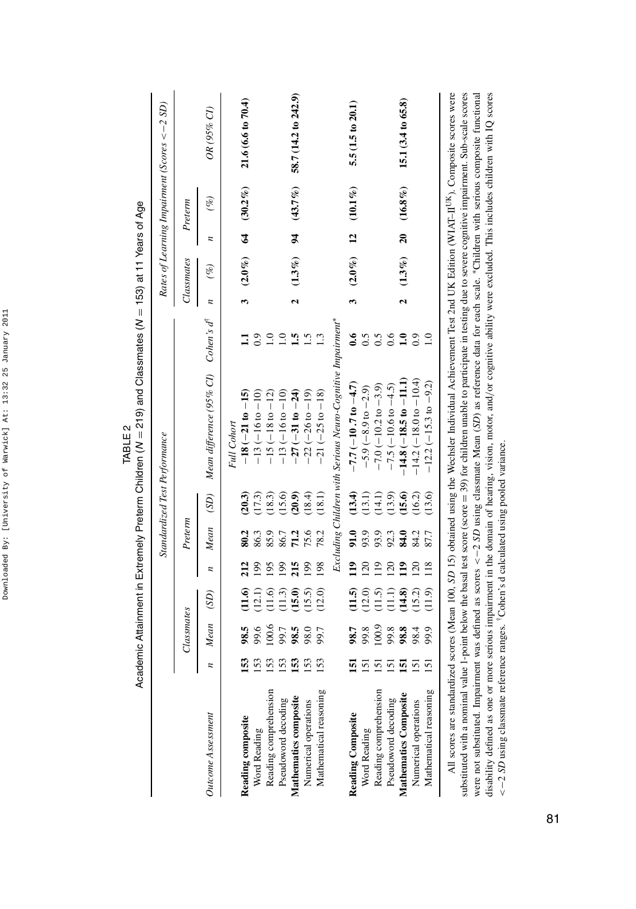|                                 |                                                |            |                       |                 |         |        | Academic Attainment in Extremely Preterm Children (N = 219) and Classmates (N = 153) at 11 Years of Age                                                                                      |                        |                    |              |                |               |                                                             |
|---------------------------------|------------------------------------------------|------------|-----------------------|-----------------|---------|--------|----------------------------------------------------------------------------------------------------------------------------------------------------------------------------------------------|------------------------|--------------------|--------------|----------------|---------------|-------------------------------------------------------------|
|                                 |                                                |            |                       |                 |         |        | Standardized Test Performance                                                                                                                                                                |                        |                    |              |                |               | Rates of Learning Impairment (Scores $\langle -2SD \rangle$ |
|                                 |                                                | Classmates |                       |                 | Preterm |        |                                                                                                                                                                                              |                        |                    | Classmates   |                | Preterm       |                                                             |
| <b>Outcome Assessment</b>       |                                                | Mean       | (SD)                  | n               | Mean    | (SD)   | Mean difference (95% CI)                                                                                                                                                                     | Cohen's d <sup>†</sup> | z                  | $(\%)$       | z              | $($ %)        | OR (95% CI)                                                 |
|                                 |                                                |            |                       |                 |         |        | Full Cohort                                                                                                                                                                                  |                        |                    |              |                |               |                                                             |
| Reading composite               |                                                | 98.5       | (1.6)                 | 212             | 80.2    | (20.3) | $-18(-21 to -15)$                                                                                                                                                                            |                        | 3                  | $(2.0\%)$    | $\mathbf{z}$   | $(30.2\%)$    | 21.6(6.6 to 70.4)                                           |
| Word Reading                    | 153                                            | 9.6        | (12.1)                | 199             | 86.3    | (17.3) | $-13(-16 to -10)$                                                                                                                                                                            | 0.9                    |                    |              |                |               |                                                             |
| Reading comprehension           | 153                                            | 100.6      | (1.6)                 | 05              | 85.9    | (18.3) | $-15(-18 to -12)$                                                                                                                                                                            | $\overline{1.0}$       |                    |              |                |               |                                                             |
| Pseudoword decoding             | 153                                            | 99.7       | (1.3)                 | 99              | 86.7    | (15.6) | $-13(-16 to -10)$                                                                                                                                                                            | $\supseteq$            |                    |              |                |               |                                                             |
| Mathematics composite           | 53                                             | 98.5       | (15.0)                | 215             | 71.2    | (20.9) | $-27(-31 to -24)$                                                                                                                                                                            | $\ddot{a}$             | 2                  | $(1.3\%)$    | $\overline{5}$ | $(43.7\%)$    | 58.7 (14.2 to 242.9)                                        |
| Numerical operations            |                                                | 98.0       | (15.5)                | 199             | 75.6    | (18.4) | $-22(-26 to -19)$                                                                                                                                                                            | $\ddot{1}$             |                    |              |                |               |                                                             |
| Mathematical reasoning          | 153                                            | 99.7       | (12.0)                | 198             | 78.2    | (18.1) | $-21(-25 \text{ to } -18)$                                                                                                                                                                   |                        |                    |              |                |               |                                                             |
|                                 |                                                |            |                       |                 |         |        | Excluding Children with Serious Neuro-Cognitive Impairment*                                                                                                                                  |                        |                    |              |                |               |                                                             |
| Reading Composite               |                                                | 98.7       | (1.5)                 | $\frac{1}{2}$   | 91.0    | (13.4) | $-7.7 (-10.7 to -4.7)$                                                                                                                                                                       | $\ddot{\bullet}$       | 3                  | $(2.0\%)$ 12 |                | $(10.1\,\% )$ | 5.5(1.5 to 20.1)                                            |
| Word Reading                    |                                                | 99.8       | (12.0)                | 20              | 93.9    | (13.1) | $-5.9(-8.9 \text{ to } -2.9)$                                                                                                                                                                |                        |                    |              |                |               |                                                             |
| Reading comprehension           | $\overline{5}$                                 | 100.9      | (11.5)                | $\frac{19}{2}$  | 93.9    | (14.1) | $-7.0$ ( $-10.2$ to $-3.9$ )                                                                                                                                                                 | 0.5                    |                    |              |                |               |                                                             |
| Pseudoword decoding             | 5                                              | 99.8       | $\Xi$                 | $\overline{20}$ | 92.3    | (13.9) | $-7.5$ (-10.6 to $-4.5$ )                                                                                                                                                                    | 0.6                    |                    |              |                |               |                                                             |
| Mathematics Composite           | 5                                              | 98.8       | (14.8)                | $\frac{2}{1}$   | 84.0    | (15.6) | $-14.8(-18.5 t_0 - 11.1)$                                                                                                                                                                    | $\mathbf{a}$           | $\mathbf{\hat{c}}$ | $(1.3\%)$    | $\overline{a}$ | $(16.8\%)$    | 15.1 (3.4 to 65.8)                                          |
| Numerical operations            |                                                | 98.4       | (15.2)                | 120             | 84.2    | (16.2) | $-14.2(-18.0 to -10.4)$                                                                                                                                                                      | 0.9                    |                    |              |                |               |                                                             |
| Mathematical reasoning          |                                                | 9.9        | (11.9)                | 118             | 87.7    | (13.6) | $-12.2(-15.3 \text{ to } -9.2)$                                                                                                                                                              |                        |                    |              |                |               |                                                             |
| The contract of the contract of | $\begin{bmatrix} 1 & 1 \\ 1 & 1 \end{bmatrix}$ |            | 医心室 化二十四烷 医二十四烷 医二十四烷 |                 |         |        | All scores are standardized scores (Mean 100, SD 15) obtained using the Wechsler Individual Achievement Test 2nd UK Edition (WIAT-II <sup>UK</sup> ). Composite scores were<br>$\sim$ $\sim$ |                        |                    |              |                |               |                                                             |

TABLE 2

substituted with a nominal value 1-point below the basal test score (score = 39) for children unable to participate in testing due to severe cognitive impairment. Sub-scale scores<br>were not substituted. Impairment was defin disability defined as one or more serious impairment in the domain of hearing, vision, motor, and/or cognitive ability were excluded. This includes children with IQ scores substituted with a nominal value 1-point below the basal test score (score = 39) for children unable to participate in testing due to severe cognitive impairment. Sub-scale scores were not substituted. Impairment was defined as scores *<*−2 *SD* using classmate Mean (*SD*) as reference data for each scale. ∗Children with serious composite functional disability defined as one or more serious impairment in the domain of hearing, vision, motor, and*/*or cognitive ability were excluded. This includes children with IQ scores <-2 SD using classmate reference ranges. <sup>†</sup>Cohen's d calculated using pooled variance. *<*−2 *SD* using classmate reference ranges. †Cohen's d calculated using pooled variance.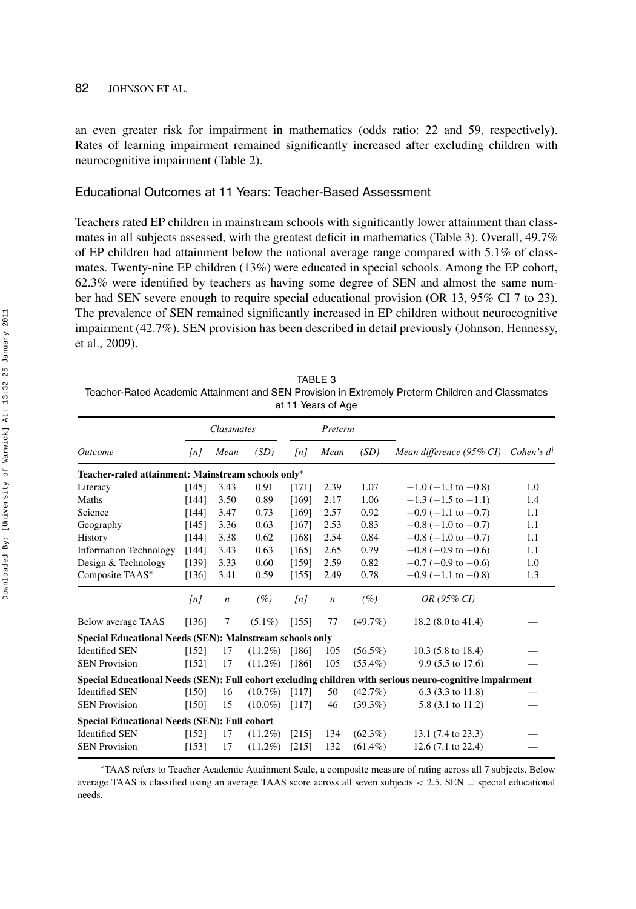### 82 JOHNSON ET AL.

an even greater risk for impairment in mathematics (odds ratio: 22 and 59, respectively). Rates of learning impairment remained significantly increased after excluding children with neurocognitive impairment (Table 2).

# Educational Outcomes at 11 Years: Teacher-Based Assessment

Teachers rated EP children in mainstream schools with significantly lower attainment than classmates in all subjects assessed, with the greatest deficit in mathematics (Table 3). Overall, 49.7% of EP children had attainment below the national average range compared with 5.1% of classmates. Twenty-nine EP children (13%) were educated in special schools. Among the EP cohort, 62.3% were identified by teachers as having some degree of SEN and almost the same number had SEN severe enough to require special educational provision (OR 13, 95% CI 7 to 23). The prevalence of SEN remained significantly increased in EP children without neurocognitive impairment (42.7%). SEN provision has been described in detail previously (Johnson, Hennessy, et al., 2009).

| TABLE 3                                                                                          |
|--------------------------------------------------------------------------------------------------|
| Teacher-Rated Academic Attainment and SEN Provision in Extremely Preterm Children and Classmates |
| at 11 Years of Age                                                                               |

|                                                          |                      | Classmates       |            |                      | Preterm          |            |                                                                                                         |                       |
|----------------------------------------------------------|----------------------|------------------|------------|----------------------|------------------|------------|---------------------------------------------------------------------------------------------------------|-----------------------|
| <i><u><b>Outcome</b></u></i>                             | $\lfloor nl \rfloor$ | Mean             | (SD)       | $\lfloor nl \rfloor$ | Mean             | (SD)       | Mean difference (95% CI)                                                                                | Cohen's $d^{\dagger}$ |
| Teacher-rated attainment: Mainstream schools only*       |                      |                  |            |                      |                  |            |                                                                                                         |                       |
| Literacy                                                 | [145]                | 3.43             | 0.91       | [171]                | 2.39             | 1.07       | $-1.0$ ( $-1.3$ to $-0.8$ )                                                                             | 1.0                   |
| Maths                                                    | [144]                | 3.50             | 0.89       | [169]                | 2.17             | 1.06       | $-1.3$ ( $-1.5$ to $-1.1$ )                                                                             | 1.4                   |
| Science                                                  | [144]                | 3.47             | 0.73       | [169]                | 2.57             | 0.92       | $-0.9$ ( $-1.1$ to $-0.7$ )                                                                             | 1.1                   |
| Geography                                                | [145]                | 3.36             | 0.63       | [167]                | 2.53             | 0.83       | $-0.8$ ( $-1.0$ to $-0.7$ )                                                                             | 1.1                   |
| History                                                  | [144]                | 3.38             | 0.62       | [168]                | 2.54             | 0.84       | $-0.8$ ( $-1.0$ to $-0.7$ )                                                                             | 1.1                   |
| <b>Information Technology</b>                            | [144]                | 3.43             | 0.63       | [165]                | 2.65             | 0.79       | $-0.8$ ( $-0.9$ to $-0.6$ )                                                                             | 1.1                   |
| Design & Technology                                      | [139]                | 3.33             | 0.60       | [159]                | 2.59             | 0.82       | $-0.7$ ( $-0.9$ to $-0.6$ )                                                                             | 1.0                   |
| Composite TAAS*                                          | [136]                | 3.41             | 0.59       | [155]                | 2.49             | 0.78       | $-0.9$ (-1.1 to -0.8)                                                                                   | 1.3                   |
|                                                          | $\lfloor nl \rfloor$ | $\boldsymbol{n}$ | (%)        | $\lfloor nl \rfloor$ | $\boldsymbol{n}$ | (%)        | OR (95% CI)                                                                                             |                       |
| Below average TAAS                                       | [136]                | 7                | $(5.1\%)$  | [155]                | 77               | $(49.7\%)$ | 18.2 (8.0 to 41.4)                                                                                      |                       |
| Special Educational Needs (SEN): Mainstream schools only |                      |                  |            |                      |                  |            |                                                                                                         |                       |
| <b>Identified SEN</b>                                    | [152]                | 17               | $(11.2\%)$ | [186]                | 105              | $(56.5\%)$ | $10.3$ (5.8 to 18.4)                                                                                    |                       |
| <b>SEN Provision</b>                                     | [152]                | 17               | $(11.2\%)$ | [186]                | 105              | $(55.4\%)$ | 9.9 (5.5 to 17.6)                                                                                       |                       |
|                                                          |                      |                  |            |                      |                  |            | Special Educational Needs (SEN): Full cohort excluding children with serious neuro-cognitive impairment |                       |
| <b>Identified SEN</b>                                    | [150]                | 16               | $(10.7\%)$ | [117]                | 50               | $(42.7\%)$ | $6.3$ (3.3 to 11.8)                                                                                     |                       |
| <b>SEN Provision</b>                                     | [150]                | 15               | $(10.0\%)$ | [117]                | 46               | $(39.3\%)$ | 5.8 (3.1 to 11.2)                                                                                       |                       |
| <b>Special Educational Needs (SEN): Full cohort</b>      |                      |                  |            |                      |                  |            |                                                                                                         |                       |
| <b>Identified SEN</b>                                    | [152]                | 17               | $(11.2\%)$ | [215]                | 134              | $(62.3\%)$ | 13.1 (7.4 to 23.3)                                                                                      |                       |
| <b>SEN Provision</b>                                     | [153]                | 17               | $(11.2\%)$ | [215]                | 132              | $(61.4\%)$ | $12.6(7.1 \text{ to } 22.4)$                                                                            |                       |
|                                                          |                      |                  |            |                      |                  |            |                                                                                                         |                       |

∗TAAS refers to Teacher Academic Attainment Scale, a composite measure of rating across all 7 subjects. Below average TAAS is classified using an average TAAS score across all seven subjects *<* 2.5. SEN = special educational needs.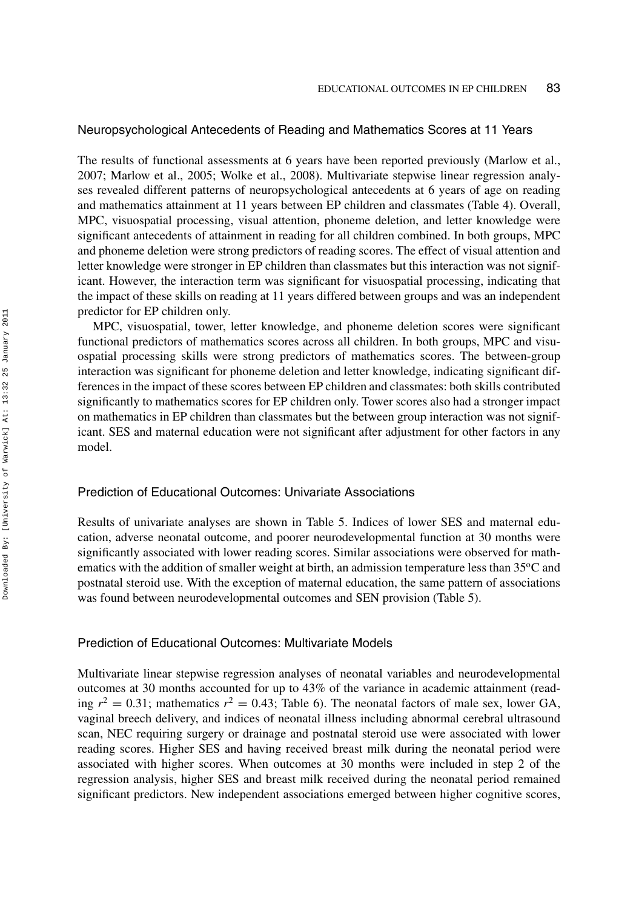# Neuropsychological Antecedents of Reading and Mathematics Scores at 11 Years

The results of functional assessments at 6 years have been reported previously (Marlow et al., 2007; Marlow et al., 2005; Wolke et al., 2008). Multivariate stepwise linear regression analyses revealed different patterns of neuropsychological antecedents at 6 years of age on reading and mathematics attainment at 11 years between EP children and classmates (Table 4). Overall, MPC, visuospatial processing, visual attention, phoneme deletion, and letter knowledge were significant antecedents of attainment in reading for all children combined. In both groups, MPC and phoneme deletion were strong predictors of reading scores. The effect of visual attention and letter knowledge were stronger in EP children than classmates but this interaction was not significant. However, the interaction term was significant for visuospatial processing, indicating that the impact of these skills on reading at 11 years differed between groups and was an independent predictor for EP children only.

MPC, visuospatial, tower, letter knowledge, and phoneme deletion scores were significant functional predictors of mathematics scores across all children. In both groups, MPC and visuospatial processing skills were strong predictors of mathematics scores. The between-group interaction was significant for phoneme deletion and letter knowledge, indicating significant differences in the impact of these scores between EP children and classmates: both skills contributed significantly to mathematics scores for EP children only. Tower scores also had a stronger impact on mathematics in EP children than classmates but the between group interaction was not significant. SES and maternal education were not significant after adjustment for other factors in any model.

# Prediction of Educational Outcomes: Univariate Associations

Results of univariate analyses are shown in Table 5. Indices of lower SES and maternal education, adverse neonatal outcome, and poorer neurodevelopmental function at 30 months were significantly associated with lower reading scores. Similar associations were observed for mathematics with the addition of smaller weight at birth, an admission temperature less than  $35^{\circ}$ C and postnatal steroid use. With the exception of maternal education, the same pattern of associations was found between neurodevelopmental outcomes and SEN provision (Table 5).

## Prediction of Educational Outcomes: Multivariate Models

Multivariate linear stepwise regression analyses of neonatal variables and neurodevelopmental outcomes at 30 months accounted for up to 43% of the variance in academic attainment (reading  $r^2 = 0.31$ ; mathematics  $r^2 = 0.43$ ; Table 6). The neonatal factors of male sex, lower GA, vaginal breech delivery, and indices of neonatal illness including abnormal cerebral ultrasound scan, NEC requiring surgery or drainage and postnatal steroid use were associated with lower reading scores. Higher SES and having received breast milk during the neonatal period were associated with higher scores. When outcomes at 30 months were included in step 2 of the regression analysis, higher SES and breast milk received during the neonatal period remained significant predictors. New independent associations emerged between higher cognitive scores,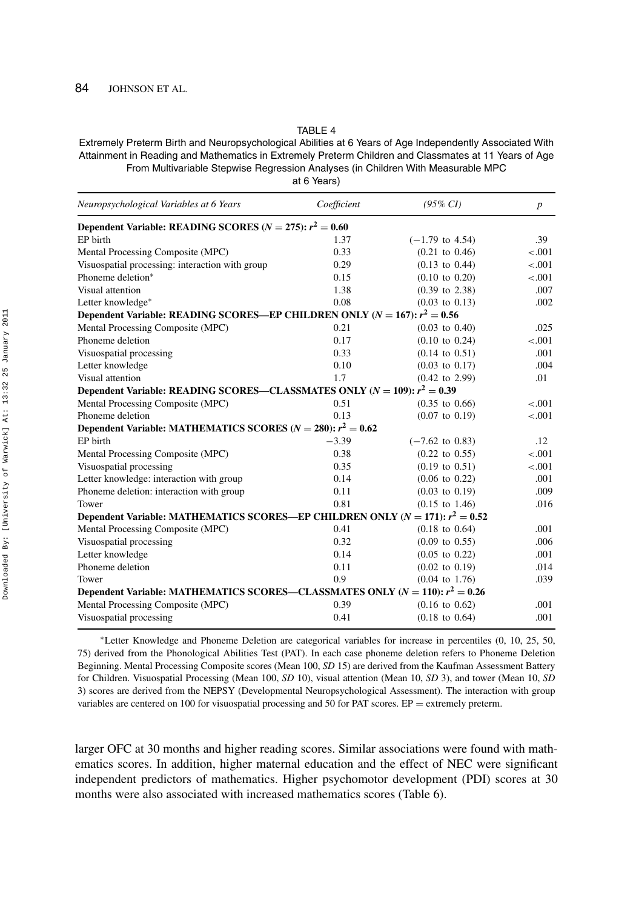TABLE 4

Extremely Preterm Birth and Neuropsychological Abilities at 6 Years of Age Independently Associated With Attainment in Reading and Mathematics in Extremely Preterm Children and Classmates at 11 Years of Age From Multivariable Stepwise Regression Analyses (in Children With Measurable MPC at 6 Years)

| Neuropsychological Variables at 6 Years                                            | Coefficient | $(95\% \ CI)$              | $\boldsymbol{p}$ |
|------------------------------------------------------------------------------------|-------------|----------------------------|------------------|
| Dependent Variable: READING SCORES ( $N = 275$ ): $r^2 = 0.60$                     |             |                            |                  |
| EP birth                                                                           | 1.37        | $(-1.79$ to 4.54)          | .39              |
| Mental Processing Composite (MPC)                                                  | 0.33        | $(0.21 \text{ to } 0.46)$  | $-.001$          |
| Visuospatial processing: interaction with group                                    | 0.29        | $(0.13 \text{ to } 0.44)$  | $-.001$          |
| Phoneme deletion*                                                                  | 0.15        | $(0.10 \text{ to } 0.20)$  | $-.001$          |
| Visual attention                                                                   | 1.38        | $(0.39 \text{ to } 2.38)$  | .007             |
| Letter knowledge*                                                                  | 0.08        | $(0.03 \text{ to } 0.13)$  | .002             |
| Dependent Variable: READING SCORES—EP CHILDREN ONLY ( $N = 167$ ): $r^2 = 0.56$    |             |                            |                  |
| Mental Processing Composite (MPC)                                                  | 0.21        | $(0.03 \text{ to } 0.40)$  | .025             |
| Phoneme deletion                                                                   | 0.17        | $(0.10 \text{ to } 0.24)$  | $-.001$          |
| Visuospatial processing                                                            | 0.33        | $(0.14 \text{ to } 0.51)$  | .001             |
| Letter knowledge                                                                   | 0.10        | $(0.03 \text{ to } 0.17)$  | .004             |
| Visual attention                                                                   | 1.7         | $(0.42 \text{ to } 2.99)$  | .01              |
| Dependent Variable: READING SCORES—CLASSMATES ONLY ( $N = 109$ ): $r^2 = 0.39$     |             |                            |                  |
| Mental Processing Composite (MPC)                                                  | 0.51        | $(0.35 \text{ to } 0.66)$  | $-.001$          |
| Phoneme deletion                                                                   | 0.13        | $(0.07 \text{ to } 0.19)$  | $-.001$          |
| Dependent Variable: MATHEMATICS SCORES ( $N = 280$ ): $r^2 = 0.62$                 |             |                            |                  |
| EP birth                                                                           | $-3.39$     | $(-7.62 \text{ to } 0.83)$ | .12              |
| Mental Processing Composite (MPC)                                                  | 0.38        | $(0.22 \text{ to } 0.55)$  | $-.001$          |
| Visuospatial processing                                                            | 0.35        | $(0.19 \text{ to } 0.51)$  | $-.001$          |
| Letter knowledge: interaction with group                                           | 0.14        | $(0.06 \text{ to } 0.22)$  | .001             |
| Phoneme deletion: interaction with group                                           | 0.11        | $(0.03 \text{ to } 0.19)$  | .009             |
| Tower                                                                              | 0.81        | $(0.15 \text{ to } 1.46)$  | .016             |
| Dependent Variable: MATHEMATICS SCORES—EP CHILDREN ONLY $(N = 171)$ : $r^2 = 0.52$ |             |                            |                  |
| Mental Processing Composite (MPC)                                                  | 0.41        | $(0.18 \text{ to } 0.64)$  | .001             |
| Visuospatial processing                                                            | 0.32        | $(0.09 \text{ to } 0.55)$  | .006             |
| Letter knowledge                                                                   | 0.14        | $(0.05 \text{ to } 0.22)$  | .001             |
| Phoneme deletion                                                                   | 0.11        | $(0.02 \text{ to } 0.19)$  | .014             |
| Tower                                                                              | 0.9         | $(0.04 \text{ to } 1.76)$  | .039             |
| Dependent Variable: MATHEMATICS SCORES—CLASSMATES ONLY ( $N = 110$ ): $r^2 = 0.26$ |             |                            |                  |
| Mental Processing Composite (MPC)                                                  | 0.39        | $(0.16 \text{ to } 0.62)$  | .001             |
| Visuospatial processing                                                            | 0.41        | $(0.18 \text{ to } 0.64)$  | .001             |
|                                                                                    |             |                            |                  |

∗Letter Knowledge and Phoneme Deletion are categorical variables for increase in percentiles (0, 10, 25, 50, 75) derived from the Phonological Abilities Test (PAT). In each case phoneme deletion refers to Phoneme Deletion Beginning. Mental Processing Composite scores (Mean 100, *SD* 15) are derived from the Kaufman Assessment Battery for Children. Visuospatial Processing (Mean 100, *SD* 10), visual attention (Mean 10, *SD* 3), and tower (Mean 10, *SD* 3) scores are derived from the NEPSY (Developmental Neuropsychological Assessment). The interaction with group variables are centered on 100 for visuospatial processing and 50 for PAT scores.  $EP =$  extremely preterm.

larger OFC at 30 months and higher reading scores. Similar associations were found with mathematics scores. In addition, higher maternal education and the effect of NEC were significant independent predictors of mathematics. Higher psychomotor development (PDI) scores at 30 months were also associated with increased mathematics scores (Table 6).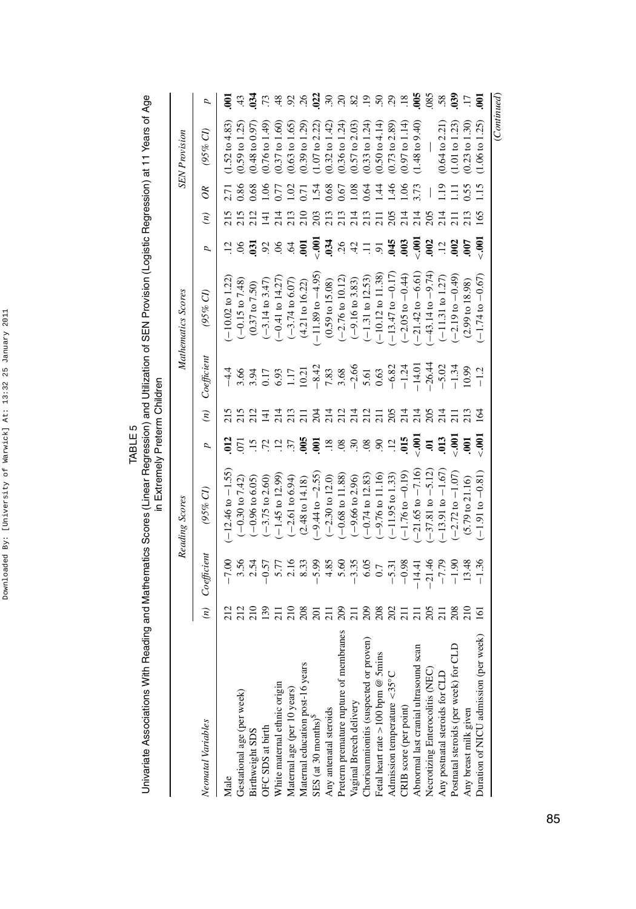| 1<br>l<br>ı       |
|-------------------|
| ֘֒<br>í           |
| t<br>ì<br>l       |
| ı<br>l<br>I.<br>ì |
| !                 |
| ֚֕֕֡              |
| ֠<br>l            |
| l<br>۱<br>ı       |
| i<br>֘֒           |
| I                 |

| i<br>)<br>D<br>ļ<br>ì<br>C<br>C<br>L<br>)<br>]<br>l<br>ĭ<br>I<br>l<br>.<br>!<br>isan<br> <br> <br> <br> <br> <br>ミく<br>1<br>ţ<br>İ<br>֚֡֕ |
|-------------------------------------------------------------------------------------------------------------------------------------------|
|-------------------------------------------------------------------------------------------------------------------------------------------|

|                       | (Continued                |                  |                  |                 |                             |                                                     |                   |                  |                             |                |                  |                                                                   |
|-----------------------|---------------------------|------------------|------------------|-----------------|-----------------------------|-----------------------------------------------------|-------------------|------------------|-----------------------------|----------------|------------------|-------------------------------------------------------------------|
| ຣຸ                    | $(1.06 \text{ to } 1.25)$ | $\frac{5}{1}$    | 165              | $\frac{1}{2}$   | $(-1.74 \text{ to } -0.67$  | $-1.2$                                              | 164               | $\frac{5}{2}$    | $(-1.91 to -0.81)$          | $-1.36$        | $\overline{5}$   | Duration of NICU admission (per week)                             |
|                       | $(0.23 \text{ to } 1.30)$ | 0.55             | 213              | 607             | $(2.99 \text{ to } 18.98)$  | 0.99                                                | 213               | $\overline{5}$   | $(5.79 \text{ to } 21.16)$  | 13.48          | $\frac{10}{21}$  | Any breast milk given                                             |
| $^{039}$              | $(1.01 \text{ to } 1.23)$ | Ξ                |                  | $\approx$       | $-2.19$ to $-0.49$          | $-1.34$                                             |                   | $\ddot{=}$       | $-2.72$ to $-1.07$          | $-1.90$        | 208              | Postnatal steroids (per week) for CLD                             |
| 58.                   | $(0.64 \text{ to } 2.21)$ | $\frac{1}{2}$    |                  | $\overline{12}$ | $(-11.31$ to $1.27$         | $-5.02$                                             | 214               | $\overline{013}$ | $-13.91$ to $-1.67$         | $-7.79$        | $\overline{z}$   | Any postnatal steroids for CLD                                    |
| .085                  |                           |                  | 205              | 002             | $-43.14$ to $-9.74$         | $-26.44$                                            | 205               | $\overline{a}$   | $-37.81$ to $-5.12$         | $-21.46$       | 205              | Necrotizing Enterocolitis (NEC)                                   |
| $-005$                | $(1.48 \text{ to } 9.40)$ | 3.73             | 214              | $\ddot{6}$      | $-21.42$ to $-6.61$         | $-14.01$                                            | 214               | $\ddot{=}$       | $-21.65$ to $-7.16$         | $-14.41$       | $\overline{z}$   | Abnormal last cranial ultrasound scan                             |
| $\overline{18}$       | $(0.97 \text{ to } 1.14)$ | 1.06             | 214              | $\ddot{6}$      | $(-2.05 \text{ to } -0.44)$ |                                                     | 214               | 615              | $-1.76$ to $-0.19$          | $-0.98$        | $\overline{21}$  | CRIB score (per point)                                            |
| 29                    | $(0.73 \text{ to } 2.89)$ | 1.46             | 205              | .045            | $-13.47$ to $-0.17$         | $-6.82$<br>$-1.24$                                  | 205               | $\overline{12}$  | $(-11.95 \text{ to } 1.33)$ | $-5.31$        | 202              | Admission temperature <35°C                                       |
| Š                     | (0.50 to 4.14)            | $\overline{14}$  | $\overline{211}$ | $\overline{5}$  | $-10.12$ to $11.38$         | 0.63                                                |                   | $\mathcal{S}$    | $(-9.76 \text{ to } 11.16)$ | $0.7\,$        | 208              | Fetal heart rate > 100 bpm @ 5mins                                |
| $\ddot{=}$            | $(0.33 \text{ to } 1.24)$ | 0.64             | 213              |                 | $(-1.31$ to $12.53$         | 5.61                                                | $\frac{21}{211}$  | 08               | $(-0.74 \text{ to } 12.83)$ | 6.05           | 209              | Chorioannionitis (suspected or proven)                            |
| $\mathcal{S}$         | $(0.57 \text{ to } 2.03)$ | 1.08             | 214              | 42              | $(-9.16 \text{ to } 3.83)$  | $-2.66$                                             | $\frac{21}{214}$  | $\ddot{.}$       | $(-9.66 \text{ to } 2.96)$  | $-3.35$        | $\overline{z}$   | Preterm premature rupture of membranes<br>Vaginal Breech delivery |
| S                     | $(0.36 \text{ to } 1.24)$ | 0.67             | 213              | 26              | $(-2.76 \text{ to } 10.12)$ |                                                     |                   |                  | $(-0.68 \text{ to } 11.88)$ | 5.60           | 209              |                                                                   |
| $\ddot{\mathcal{E}}$  | $(0.32 \text{ to } 1.42)$ | 0.68             | 213              | 034             | $(0.59 \text{ to } 15.08)$  | 7.83<br>3.68                                        | 214               | $\overline{18}$  | $(-2.30 \text{ to } 12.0)$  | 4.85           | $\overline{2}$   | Any antenatal steroids                                            |
| $\overline{2}$        | $(1.07 \text{ to } 2.22)$ | 1.54             | 203              | $\frac{1}{2}$   | $-11.89$ to $-4.95$         | $-8.42$                                             | 204               | $\epsilon$       | $-9.44$ to $-2.55$          | $-5.99$        | $\overline{201}$ | SES (at 30 months) <sup>\$</sup>                                  |
| $\tilde{\mathcal{L}}$ | $(0.39 \text{ to } 1.29)$ | $\overline{.71}$ | $\frac{210}{2}$  | 5               | $(4.21 \text{ to } 16.22)$  |                                                     |                   | $\frac{50}{2}$   | $(2.48 \text{ to } 14.18)$  | 8.33           | 208              | Maternal education post-16 years                                  |
|                       | $(0.63 \text{ to } 1.65)$ | 1.02             | 213              | $\ddot{6}$      | $(-3.74 \text{ to } 6.07)$  |                                                     | $\frac{213}{211}$ |                  | $(-2.61 \text{ to } 6.94)$  |                | 210              | Maternal age (per 10 years)                                       |
| $\frac{8}{3}$         | (0.37 to 1.60)            | 0.77             | 214              | 90.             | $-0.41$ to 14.27            |                                                     | 214               | $\ddot{5}$       | $-1.45$ to 12.99            | $5.77$<br>2.16 | $\overline{21}$  | White maternal ethnic origin                                      |
| 73                    | $(0.76 \text{ to } 1.49)$ | 0.06             | $\overline{141}$ | 92              | $(-3.14 \text{ to } 3.47)$  | $\frac{44}{3.66}$<br>3.94 0.17<br>6.93 1.17<br>1.10 | $\overline{11}$   | .72              | $(-3.75 \text{ to } 2.60)$  | $-0.57$        | 139              | OFC SDS at birth                                                  |
| $^{34}$               | $(0.48 \text{ to } 0.97)$ | 0.68             | 212              | $\overline{3}$  | $(0.37 \text{ to } 7.50)$   |                                                     | 212               | $\overline{15}$  | $(-0.96 \text{ to } 6.05)$  | $3.56$<br>2.54 | 210              | Birthweight SDS                                                   |
| $\ddot{4}$            | $(0.59 \text{ to } 1.25)$ | <b>1.86</b>      |                  |                 | $(-0.15 \text{ to } 7.48)$  |                                                     | 215               | 5                | $(-0.30 \text{ to } 7.42)$  |                | 212              | Gestational age (per week)                                        |
| ξ                     | $1.52$ to $4.83$          | 2.71             |                  |                 | $-10.02$ to $1.22$          |                                                     |                   |                  | $-12.46$ to $-1.55$         | 00.7           |                  | Male                                                              |
| ρ                     | (95% C)                   | $\infty$         | $\binom{n}{k}$   | p               | (95% CI)                    | $\emph{Coefficient}$                                | $\binom{n}{k}$    | p                | $(95\% \; Cl)$              | Coefficient    | $\binom{n}{k}$   | Neonatal Variables                                                |
|                       | <b>SEN</b> Provision      |                  |                  |                 | Mathematics Scores          |                                                     |                   |                  | Reading Scores              |                |                  |                                                                   |
|                       |                           |                  |                  |                 |                             |                                                     |                   |                  |                             |                |                  |                                                                   |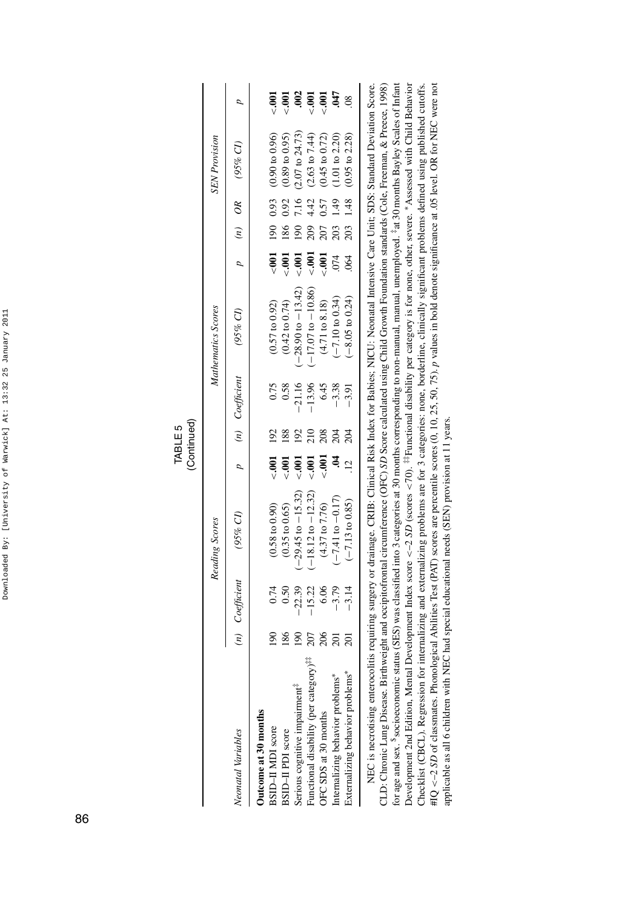| ļ                                                 |
|---------------------------------------------------|
| í<br>I<br>I                                       |
| t<br>l<br>Ĺ                                       |
| I<br>ı<br>ì                                       |
| i<br>ï                                            |
| í                                                 |
| ۱<br>ï                                            |
| l<br>֚<br>I<br>l<br>l<br>$\overline{\phantom{a}}$ |
| l<br>$\mathbf{I}$                                 |
| ı<br>I                                            |

|                        |                      |                     |                      | $-0.001$                  | .001                      | .002                                      | $\ddot{0}$                                         | LPO.                        |                                  | $\frac{8}{2}$                    |     |                  |  |
|------------------------|----------------------|---------------------|----------------------|---------------------------|---------------------------|-------------------------------------------|----------------------------------------------------|-----------------------------|----------------------------------|----------------------------------|-----|------------------|--|
|                        | <b>SEN</b> Provision | $p$ (n) OR (95% CI) |                      | $(0.90 \text{ to } 0.96)$ | $(0.89 \text{ to } 0.95)$ | $(2.07 \text{ to } 24.73)$                | $(2.63 \text{ to } 7.44)$                          | $(0.45$ to $0.72)$          | $(1.01 \text{ to } 2.20)$        | $(0.95 \text{ to } 2.28)$        |     |                  |  |
|                        |                      |                     |                      | 190 0.93                  | 0.92                      | 7.16                                      | 4.42                                               | 0.57                        | $\frac{49}{5}$                   | 1.48                             |     |                  |  |
|                        |                      |                     |                      |                           | 186                       | $\overline{0}$                            | 209                                                | 207                         | 203                              | 203                              |     |                  |  |
|                        |                      |                     |                      | $\sim 000$                | $-001$                    | $-0.001$                                  | $-001$                                             | $\frac{100}{2}$             | 074                              | .064                             |     |                  |  |
|                        | Mathematics Scores   | $(95%$ CI)          |                      | $(0.57 \text{ to } 0.92)$ | $(0.42 \text{ to } 0.74)$ | $(-28.90 \text{ to } -13.42)$             | $(-17.07 \text{ to } -10.86)$                      | $(4.71\,\mathrm{to}\,8.18)$ | $-7.10$ to 0.34)                 | $-8.05$ to 0.24)                 |     |                  |  |
|                        |                      | p (n) Coefficient   |                      | 0.75                      | 0.58                      | $-21.16$                                  | $-13.96$                                           | 6.45                        | $-3.38$                          | $-3.91$                          |     |                  |  |
| (Continued)<br>TABLE 5 |                      |                     |                      |                           |                           |                                           | $\frac{10}{2}$                                     | 208                         |                                  | 204                              |     |                  |  |
|                        |                      |                     |                      | $-0.001$ 192              | $\ddot{5}$                | $-0.001$                                  | $-0.001$                                           | $\ddot{=}$                  |                                  |                                  |     |                  |  |
|                        | Reading Scores       | (95% CI)            |                      | $(0.58 \text{ to } 0.90)$ | (0.35 to 0.65)            | $(-29.45$ to $-15.32)$                    | $(-18.12 \text{ to } -12.32)$                      | $(4.37 \text{ to } 7.76)$   | $-7.41$ to $-0.17$ )             | $(-7.13 \text{ to } 0.85)$       |     |                  |  |
|                        |                      | (n) Coefficient     |                      | 0.74                      | 0.50                      | $-22.39$                                  | 15.22                                              | 6.06                        | $-3.79$                          | $-3.14$                          |     |                  |  |
|                        |                      |                     |                      |                           |                           | $\frac{190}{2}$                           | 186                                                | $\frac{8}{1}$               | 207                              | 206                              | 201 | $\overline{201}$ |  |
|                        |                      | Neonatal Variables  | Outcome at 30 months | BSID-II MDI score         | BSID-II PDI score         | Serious cognitive impairment <sup>7</sup> | Functional disability (per category) <sup>27</sup> | OFC SDS at 30 months        | Internalizing behavior problems* | Externalizing behavior problems* |     |                  |  |

Development 2nd Edition, Mental Development Index score <-2 SD (scores <70). ##Functional disability per category is for none, other, severe. \*Assessed with Child Behavior NEC is necrotising enterocolitis requiring surgery or drainage. CRIB: Clinical Risk Index for Babies; NICU: Neonatal Intensive Care Unit; SDS: Standard Deviation Score. CLD: Chronic Lung Disease. Birthweight and occipitofrontal circumference (OFC) SD Score calculated using Child Growth Foundation standards (Cole, Freeman, & Prece, 1998) for age and sex. <sup>\$</sup>socioeconomic status (SES) was classified into 3 categories at 30 months corresponding to non-manual, manual, unemployed. <sup>5</sup>at 30 months Bayley Scales of Infant Checklist (CBCL). Regression for internalizing and externalizing problems are for 3 categories: none, borderline, clinically significant problems defined using published cutoffs.  $\#Q \lt\text{-2} 5D$  of classmates. Phonological Abilities Test (PAT) scores are percentile scores (0, 10, 25, 50, 75), p values in bold denote significance at .05 level. OR for NEC were not NEC is necrotising enterocolitis requiring surgery or drainage. CRIB: Clinical Risk Index for Babies; NICU: Neonatal Intensive Care Unit; SDS: Standard Deviation Score. CLD: Chronic Lung Disease. Birthweight and occipitofrontal circumference (OFC) *SD* Score calculated using Child Growth Foundation standards (Cole, Freeman, & Preece, 1998) for age and sex. \$socioeconomic status (SES) was classified into 3 categories at 30 months corresponding to non-manual, manual, unemployed. ‡at 30 months Bayley Scales of Infant Development 2nd Edition, Mental Development Index score *<*–2 *SD* (scores *<*70). ‡‡Functional disability per category is for none, other, severe. ∗Assessed with Child Behavior Checklist (CBCL). Regression for internalizing and externalizing problems are for 3 categories: none, borderline, clinically significant problems defined using published cutoffs. #IQ *<*–2 *SD* of classmates. Phonological Abilities Test (PAT) scores are percentile scores (0, 10, 25, 50, 75). *p* values in bold denote significance at .05 level. OR for NEC were not applicable as all 6 children with NEC had special educational needs (SEN) provision at 11 years. applicable as all 6 children with NEC had special educational needs (SEN) provision at 11 years.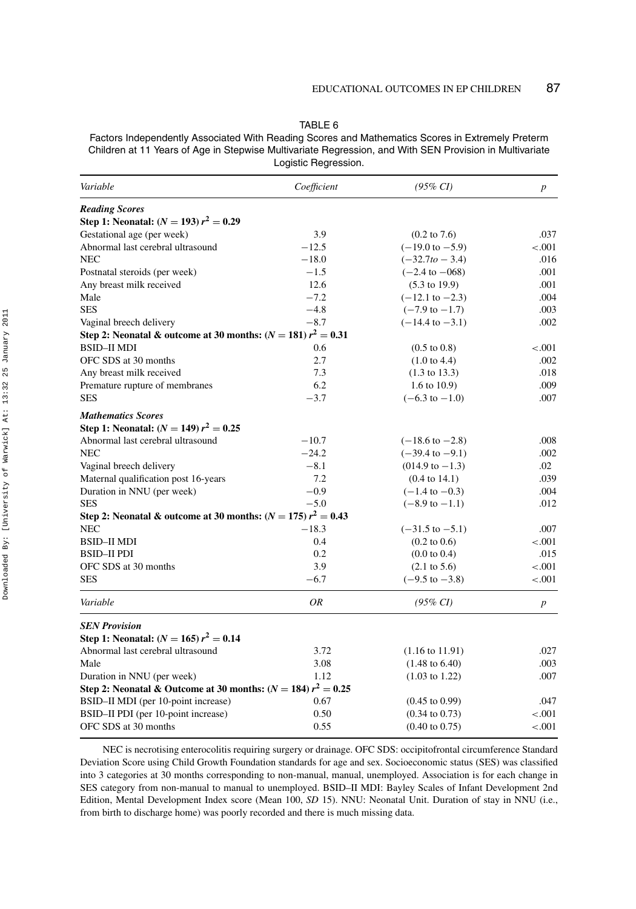| L<br>□<br>Œ |  |
|-------------|--|
|-------------|--|

Factors Independently Associated With Reading Scores and Mathematics Scores in Extremely Preterm Children at 11 Years of Age in Stepwise Multivariate Regression, and With SEN Provision in Multivariate Logistic Regression.

| Variable                                                            | Coefficient | $(95\% \ CI)$              | $\boldsymbol{p}$ |
|---------------------------------------------------------------------|-------------|----------------------------|------------------|
| <b>Reading Scores</b>                                               |             |                            |                  |
| Step 1: Neonatal: $(N = 193) r^2 = 0.29$                            |             |                            |                  |
| Gestational age (per week)                                          | 3.9         | $(0.2 \text{ to } 7.6)$    | .037             |
| Abnormal last cerebral ultrasound                                   | $-12.5$     | $(-19.0 \text{ to } -5.9)$ | $-.001$          |
| NEC                                                                 | $-18.0$     | $(-32.7to - 3.4)$          | .016             |
| Postnatal steroids (per week)                                       | $-1.5$      | $(-2.4 \text{ to } -068)$  | .001             |
| Any breast milk received                                            | 12.6        | $(5.3 \text{ to } 19.9)$   | .001             |
| Male                                                                | $-7.2$      | $(-12.1 \text{ to } -2.3)$ | .004             |
| <b>SES</b>                                                          | $-4.8$      | $(-7.9 \text{ to } -1.7)$  | .003             |
| Vaginal breech delivery                                             | $-8.7$      | $(-14.4 \text{ to } -3.1)$ | .002             |
| Step 2: Neonatal & outcome at 30 months: $(N = 181) r2 = 0.31$      |             |                            |                  |
| BSID–II MDI                                                         | 0.6         | $(0.5 \text{ to } 0.8)$    | $-.001$          |
| OFC SDS at 30 months                                                | 2.7         | $(1.0 \text{ to } 4.4)$    | .002             |
| Any breast milk received                                            | 7.3         | $(1.3 \text{ to } 13.3)$   | .018             |
| Premature rupture of membranes                                      | 6.2         | 1.6 to $10.9$ )            | .009             |
| SES                                                                 | $-3.7$      | $(-6.3 \text{ to } -1.0)$  | .007             |
| <b>Mathematics Scores</b>                                           |             |                            |                  |
| Step 1: Neonatal: $(N = 149) r^2 = 0.25$                            |             |                            |                  |
| Abnormal last cerebral ultrasound                                   | $-10.7$     | $(-18.6 \text{ to } -2.8)$ | .008             |
| NEC                                                                 | $-24.2$     | $(-39.4 \text{ to } -9.1)$ | .002             |
| Vaginal breech delivery                                             | $-8.1$      | $(014.9 \text{ to } -1.3)$ | .02              |
| Maternal qualification post 16-years                                | 7.2         | $(0.4 \text{ to } 14.1)$   | .039             |
| Duration in NNU (per week)                                          | $-0.9$      | $(-1.4 \text{ to } -0.3)$  | .004             |
| SES                                                                 | $-5.0$      | $(-8.9 \text{ to } -1.1)$  | .012             |
| Step 2: Neonatal & outcome at 30 months: ( $N = 175$ ) $r^2 = 0.43$ |             |                            |                  |
| NEC                                                                 | $-18.3$     | $(-31.5 \text{ to } -5.1)$ | .007             |
| BSID–II MDI                                                         | 0.4         | $(0.2 \text{ to } 0.6)$    | $-.001$          |
| BSID–II PDI                                                         | 0.2         | $(0.0 \text{ to } 0.4)$    | .015             |
| OFC SDS at 30 months                                                | 3.9         | $(2.1 \text{ to } 5.6)$    | $-.001$          |
| <b>SES</b>                                                          | $-6.7$      | $(-9.5 \text{ to } -3.8)$  | $-.001$          |
| Variable                                                            | ΟR          | $(95\% \; CI)$             | $\boldsymbol{p}$ |
| <b>SEN Provision</b>                                                |             |                            |                  |
| Step 1: Neonatal: $(N = 165) r^2 = 0.14$                            |             |                            |                  |
| Abnormal last cerebral ultrasound                                   | 3.72        | $(1.16 \text{ to } 11.91)$ | .027             |
| Male                                                                | 3.08        | $(1.48 \text{ to } 6.40)$  | .003             |
| Duration in NNU (per week)                                          | 1.12        | $(1.03 \text{ to } 1.22)$  | .007             |
| Step 2: Neonatal & Outcome at 30 months: ( $N = 184$ ) $r^2 = 0.25$ |             |                            |                  |
| BSID-II MDI (per 10-point increase)                                 | 0.67        | $(0.45 \text{ to } 0.99)$  | .047             |
| BSID-II PDI (per 10-point increase)                                 | 0.50        | $(0.34 \text{ to } 0.73)$  | $-.001$          |
| OFC SDS at 30 months                                                | 0.55        | $(0.40 \text{ to } 0.75)$  | $-.001$          |

NEC is necrotising enterocolitis requiring surgery or drainage. OFC SDS: occipitofrontal circumference Standard Deviation Score using Child Growth Foundation standards for age and sex. Socioeconomic status (SES) was classified into 3 categories at 30 months corresponding to non-manual, manual, unemployed. Association is for each change in SES category from non-manual to manual to unemployed. BSID–II MDI: Bayley Scales of Infant Development 2nd Edition, Mental Development Index score (Mean 100, *SD* 15). NNU: Neonatal Unit. Duration of stay in NNU (i.e., from birth to discharge home) was poorly recorded and there is much missing data.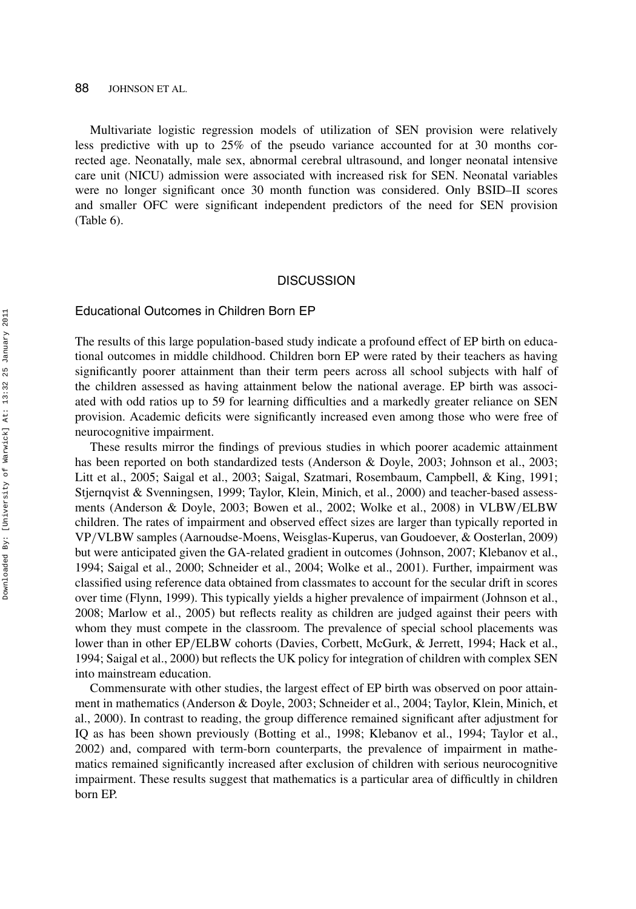88 JOHNSON ET AL.

Multivariate logistic regression models of utilization of SEN provision were relatively less predictive with up to 25% of the pseudo variance accounted for at 30 months corrected age. Neonatally, male sex, abnormal cerebral ultrasound, and longer neonatal intensive care unit (NICU) admission were associated with increased risk for SEN. Neonatal variables were no longer significant once 30 month function was considered. Only BSID–II scores and smaller OFC were significant independent predictors of the need for SEN provision (Table 6).

#### **DISCUSSION**

#### Educational Outcomes in Children Born EP

The results of this large population-based study indicate a profound effect of EP birth on educational outcomes in middle childhood. Children born EP were rated by their teachers as having significantly poorer attainment than their term peers across all school subjects with half of the children assessed as having attainment below the national average. EP birth was associated with odd ratios up to 59 for learning difficulties and a markedly greater reliance on SEN provision. Academic deficits were significantly increased even among those who were free of neurocognitive impairment.

These results mirror the findings of previous studies in which poorer academic attainment has been reported on both standardized tests (Anderson & Doyle, 2003; Johnson et al., 2003; Litt et al., 2005; Saigal et al., 2003; Saigal, Szatmari, Rosembaum, Campbell, & King, 1991; Stjernqvist & Svenningsen, 1999; Taylor, Klein, Minich, et al., 2000) and teacher-based assessments (Anderson & Doyle, 2003; Bowen et al., 2002; Wolke et al., 2008) in VLBW*/*ELBW children. The rates of impairment and observed effect sizes are larger than typically reported in VP*/*VLBW samples (Aarnoudse-Moens, Weisglas-Kuperus, van Goudoever, & Oosterlan, 2009) but were anticipated given the GA-related gradient in outcomes (Johnson, 2007; Klebanov et al., 1994; Saigal et al., 2000; Schneider et al., 2004; Wolke et al., 2001). Further, impairment was classified using reference data obtained from classmates to account for the secular drift in scores over time (Flynn, 1999). This typically yields a higher prevalence of impairment (Johnson et al., 2008; Marlow et al., 2005) but reflects reality as children are judged against their peers with whom they must compete in the classroom. The prevalence of special school placements was lower than in other EP/ELBW cohorts (Davies, Corbett, McGurk, & Jerrett, 1994; Hack et al., 1994; Saigal et al., 2000) but reflects the UK policy for integration of children with complex SEN into mainstream education.

Commensurate with other studies, the largest effect of EP birth was observed on poor attainment in mathematics (Anderson & Doyle, 2003; Schneider et al., 2004; Taylor, Klein, Minich, et al., 2000). In contrast to reading, the group difference remained significant after adjustment for IQ as has been shown previously (Botting et al., 1998; Klebanov et al., 1994; Taylor et al., 2002) and, compared with term-born counterparts, the prevalence of impairment in mathematics remained significantly increased after exclusion of children with serious neurocognitive impairment. These results suggest that mathematics is a particular area of difficultly in children born EP.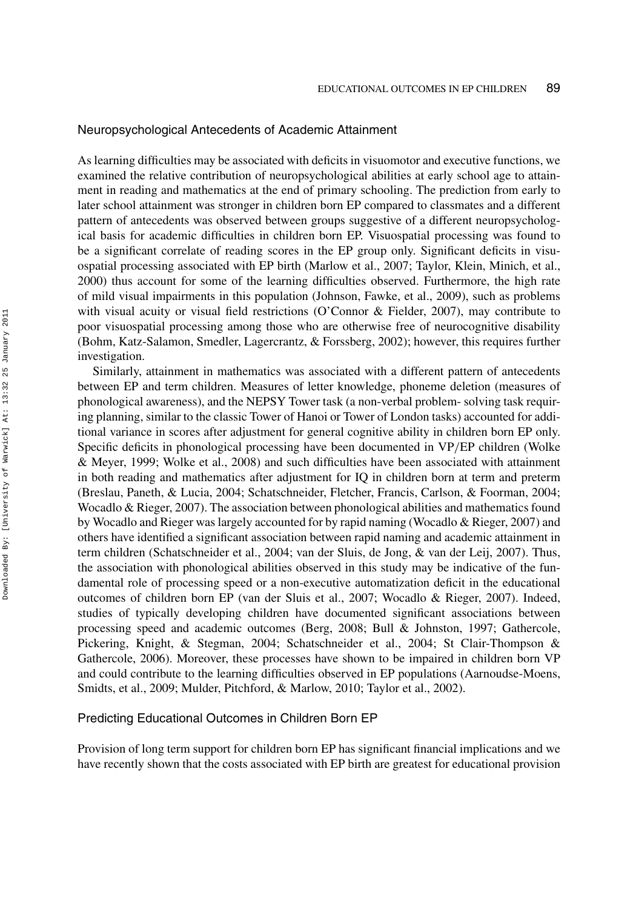# Neuropsychological Antecedents of Academic Attainment

As learning difficulties may be associated with deficits in visuomotor and executive functions, we examined the relative contribution of neuropsychological abilities at early school age to attainment in reading and mathematics at the end of primary schooling. The prediction from early to later school attainment was stronger in children born EP compared to classmates and a different pattern of antecedents was observed between groups suggestive of a different neuropsychological basis for academic difficulties in children born EP. Visuospatial processing was found to be a significant correlate of reading scores in the EP group only. Significant deficits in visuospatial processing associated with EP birth (Marlow et al., 2007; Taylor, Klein, Minich, et al., 2000) thus account for some of the learning difficulties observed. Furthermore, the high rate of mild visual impairments in this population (Johnson, Fawke, et al., 2009), such as problems with visual acuity or visual field restrictions (O'Connor & Fielder, 2007), may contribute to poor visuospatial processing among those who are otherwise free of neurocognitive disability (Bohm, Katz-Salamon, Smedler, Lagercrantz, & Forssberg, 2002); however, this requires further investigation.

Similarly, attainment in mathematics was associated with a different pattern of antecedents between EP and term children. Measures of letter knowledge, phoneme deletion (measures of phonological awareness), and the NEPSY Tower task (a non-verbal problem- solving task requiring planning, similar to the classic Tower of Hanoi or Tower of London tasks) accounted for additional variance in scores after adjustment for general cognitive ability in children born EP only. Specific deficits in phonological processing have been documented in VP*/*EP children (Wolke & Meyer, 1999; Wolke et al., 2008) and such difficulties have been associated with attainment in both reading and mathematics after adjustment for IQ in children born at term and preterm (Breslau, Paneth, & Lucia, 2004; Schatschneider, Fletcher, Francis, Carlson, & Foorman, 2004; Wocadlo & Rieger, 2007). The association between phonological abilities and mathematics found by Wocadlo and Rieger was largely accounted for by rapid naming (Wocadlo & Rieger, 2007) and others have identified a significant association between rapid naming and academic attainment in term children (Schatschneider et al., 2004; van der Sluis, de Jong, & van der Leij, 2007). Thus, the association with phonological abilities observed in this study may be indicative of the fundamental role of processing speed or a non-executive automatization deficit in the educational outcomes of children born EP (van der Sluis et al., 2007; Wocadlo & Rieger, 2007). Indeed, studies of typically developing children have documented significant associations between processing speed and academic outcomes (Berg, 2008; Bull & Johnston, 1997; Gathercole, Pickering, Knight, & Stegman, 2004; Schatschneider et al., 2004; St Clair-Thompson & Gathercole, 2006). Moreover, these processes have shown to be impaired in children born VP and could contribute to the learning difficulties observed in EP populations (Aarnoudse-Moens, Smidts, et al., 2009; Mulder, Pitchford, & Marlow, 2010; Taylor et al., 2002).

### Predicting Educational Outcomes in Children Born EP

Provision of long term support for children born EP has significant financial implications and we have recently shown that the costs associated with EP birth are greatest for educational provision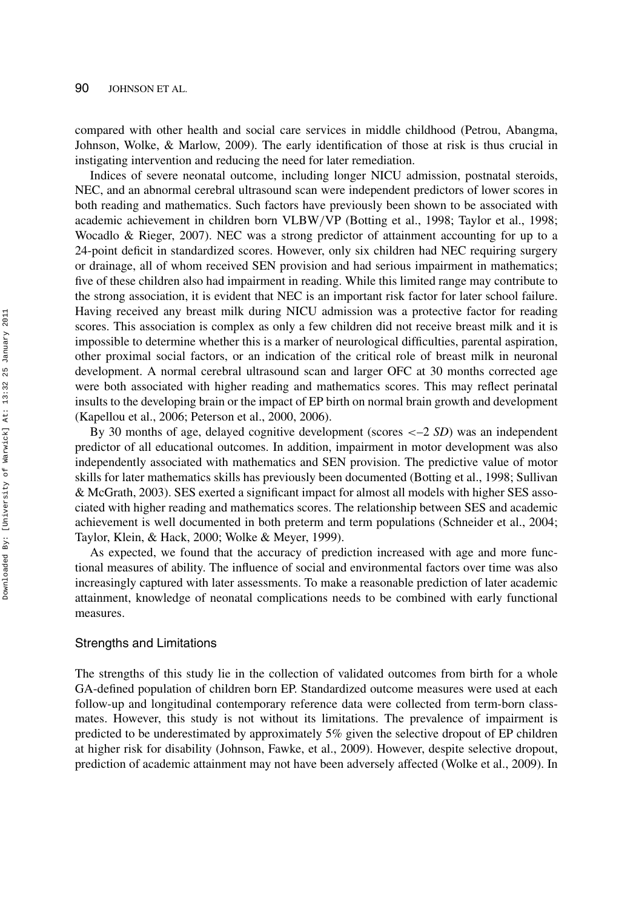compared with other health and social care services in middle childhood (Petrou, Abangma, Johnson, Wolke, & Marlow, 2009). The early identification of those at risk is thus crucial in instigating intervention and reducing the need for later remediation.

Indices of severe neonatal outcome, including longer NICU admission, postnatal steroids, NEC, and an abnormal cerebral ultrasound scan were independent predictors of lower scores in both reading and mathematics. Such factors have previously been shown to be associated with academic achievement in children born VLBW*/*VP (Botting et al., 1998; Taylor et al., 1998; Wocadlo & Rieger, 2007). NEC was a strong predictor of attainment accounting for up to a 24-point deficit in standardized scores. However, only six children had NEC requiring surgery or drainage, all of whom received SEN provision and had serious impairment in mathematics; five of these children also had impairment in reading. While this limited range may contribute to the strong association, it is evident that NEC is an important risk factor for later school failure. Having received any breast milk during NICU admission was a protective factor for reading scores. This association is complex as only a few children did not receive breast milk and it is impossible to determine whether this is a marker of neurological difficulties, parental aspiration, other proximal social factors, or an indication of the critical role of breast milk in neuronal development. A normal cerebral ultrasound scan and larger OFC at 30 months corrected age were both associated with higher reading and mathematics scores. This may reflect perinatal insults to the developing brain or the impact of EP birth on normal brain growth and development (Kapellou et al., 2006; Peterson et al., 2000, 2006).

By 30 months of age, delayed cognitive development (scores *<*–2 *SD*) was an independent predictor of all educational outcomes. In addition, impairment in motor development was also independently associated with mathematics and SEN provision. The predictive value of motor skills for later mathematics skills has previously been documented (Botting et al., 1998; Sullivan & McGrath, 2003). SES exerted a significant impact for almost all models with higher SES associated with higher reading and mathematics scores. The relationship between SES and academic achievement is well documented in both preterm and term populations (Schneider et al., 2004; Taylor, Klein, & Hack, 2000; Wolke & Meyer, 1999).

As expected, we found that the accuracy of prediction increased with age and more functional measures of ability. The influence of social and environmental factors over time was also increasingly captured with later assessments. To make a reasonable prediction of later academic attainment, knowledge of neonatal complications needs to be combined with early functional measures.

#### Strengths and Limitations

The strengths of this study lie in the collection of validated outcomes from birth for a whole GA-defined population of children born EP. Standardized outcome measures were used at each follow-up and longitudinal contemporary reference data were collected from term-born classmates. However, this study is not without its limitations. The prevalence of impairment is predicted to be underestimated by approximately 5% given the selective dropout of EP children at higher risk for disability (Johnson, Fawke, et al., 2009). However, despite selective dropout, prediction of academic attainment may not have been adversely affected (Wolke et al., 2009). In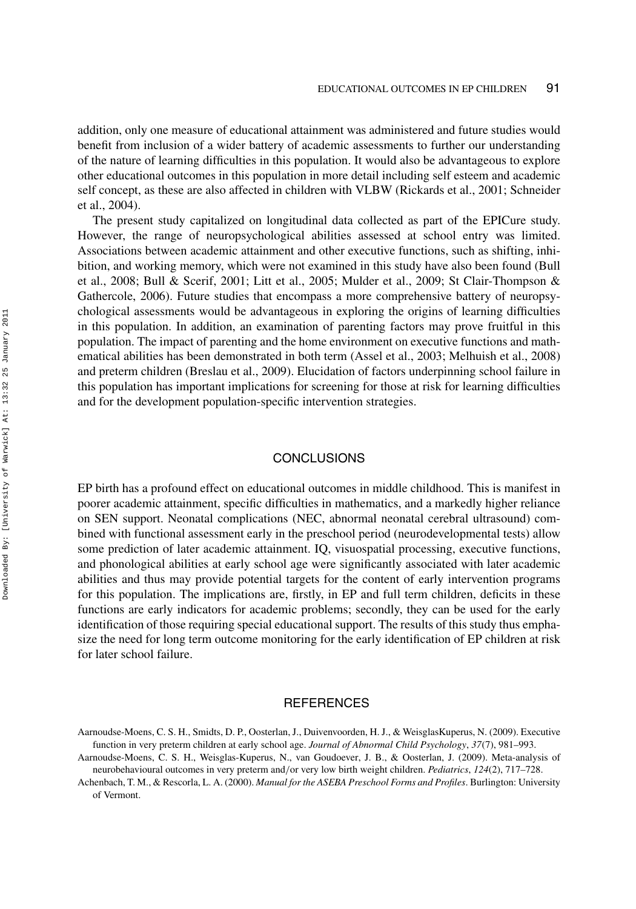addition, only one measure of educational attainment was administered and future studies would benefit from inclusion of a wider battery of academic assessments to further our understanding of the nature of learning difficulties in this population. It would also be advantageous to explore other educational outcomes in this population in more detail including self esteem and academic self concept, as these are also affected in children with VLBW (Rickards et al., 2001; Schneider et al., 2004).

The present study capitalized on longitudinal data collected as part of the EPICure study. However, the range of neuropsychological abilities assessed at school entry was limited. Associations between academic attainment and other executive functions, such as shifting, inhibition, and working memory, which were not examined in this study have also been found (Bull et al., 2008; Bull & Scerif, 2001; Litt et al., 2005; Mulder et al., 2009; St Clair-Thompson & Gathercole, 2006). Future studies that encompass a more comprehensive battery of neuropsychological assessments would be advantageous in exploring the origins of learning difficulties in this population. In addition, an examination of parenting factors may prove fruitful in this population. The impact of parenting and the home environment on executive functions and mathematical abilities has been demonstrated in both term (Assel et al., 2003; Melhuish et al., 2008) and preterm children (Breslau et al., 2009). Elucidation of factors underpinning school failure in this population has important implications for screening for those at risk for learning difficulties and for the development population-specific intervention strategies.

# **CONCLUSIONS**

EP birth has a profound effect on educational outcomes in middle childhood. This is manifest in poorer academic attainment, specific difficulties in mathematics, and a markedly higher reliance on SEN support. Neonatal complications (NEC, abnormal neonatal cerebral ultrasound) combined with functional assessment early in the preschool period (neurodevelopmental tests) allow some prediction of later academic attainment. IQ, visuospatial processing, executive functions, and phonological abilities at early school age were significantly associated with later academic abilities and thus may provide potential targets for the content of early intervention programs for this population. The implications are, firstly, in EP and full term children, deficits in these functions are early indicators for academic problems; secondly, they can be used for the early identification of those requiring special educational support. The results of this study thus emphasize the need for long term outcome monitoring for the early identification of EP children at risk for later school failure.

# **REFERENCES**

Aarnoudse-Moens, C. S. H., Smidts, D. P., Oosterlan, J., Duivenvoorden, H. J., & WeisglasKuperus, N. (2009). Executive function in very preterm children at early school age. *Journal of Abnormal Child Psychology*, *37*(7), 981–993.

Aarnoudse-Moens, C. S. H., Weisglas-Kuperus, N., van Goudoever, J. B., & Oosterlan, J. (2009). Meta-analysis of neurobehavioural outcomes in very preterm and*/*or very low birth weight children. *Pediatrics*, *124*(2), 717–728.

Achenbach, T. M., & Rescorla, L. A. (2000). *Manual for the ASEBA Preschool Forms and Profiles*. Burlington: University of Vermont.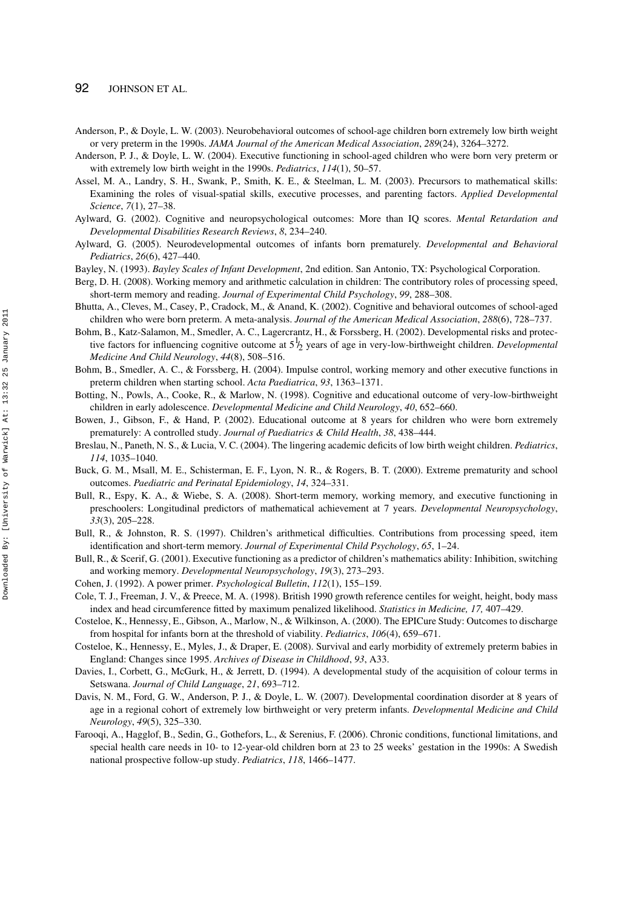- 92 JOHNSON ET AL.
- Anderson, P., & Doyle, L. W. (2003). Neurobehavioral outcomes of school-age children born extremely low birth weight or very preterm in the 1990s. *JAMA Journal of the American Medical Association*, *289*(24), 3264–3272.

Anderson, P. J., & Doyle, L. W. (2004). Executive functioning in school-aged children who were born very preterm or with extremely low birth weight in the 1990s. *Pediatrics*, *114*(1), 50–57.

- Assel, M. A., Landry, S. H., Swank, P., Smith, K. E., & Steelman, L. M. (2003). Precursors to mathematical skills: Examining the roles of visual-spatial skills, executive processes, and parenting factors. *Applied Developmental Science*, *7*(1), 27–38.
- Aylward, G. (2002). Cognitive and neuropsychological outcomes: More than IQ scores. *Mental Retardation and Developmental Disabilities Research Reviews*, *8*, 234–240.
- Aylward, G. (2005). Neurodevelopmental outcomes of infants born prematurely. *Developmental and Behavioral Pediatrics*, *26*(6), 427–440.
- Bayley, N. (1993). *Bayley Scales of Infant Development*, 2nd edition. San Antonio, TX: Psychological Corporation.
- Berg, D. H. (2008). Working memory and arithmetic calculation in children: The contributory roles of processing speed, short-term memory and reading. *Journal of Experimental Child Psychology*, *99*, 288–308.
- Bhutta, A., Cleves, M., Casey, P., Cradock, M., & Anand, K. (2002). Cognitive and behavioral outcomes of school-aged children who were born preterm. A meta-analysis. *Journal of the American Medical Association*, *288*(6), 728–737.
- Bohm, B., Katz-Salamon, M., Smedler, A. C., Lagercrantz, H., & Forssberg, H. (2002). Developmental risks and protective factors for influencing cognitive outcome at 5<sup>1</sup> / 2 years of age in very-low-birthweight children. *Developmental Medicine And Child Neurology*, *44*(8), 508–516.
- Bohm, B., Smedler, A. C., & Forssberg, H. (2004). Impulse control, working memory and other executive functions in preterm children when starting school. *Acta Paediatrica*, *93*, 1363–1371.
- Botting, N., Powls, A., Cooke, R., & Marlow, N. (1998). Cognitive and educational outcome of very-low-birthweight children in early adolescence. *Developmental Medicine and Child Neurology*, *40*, 652–660.
- Bowen, J., Gibson, F., & Hand, P. (2002). Educational outcome at 8 years for children who were born extremely prematurely: A controlled study. *Journal of Paediatrics & Child Health*, *38*, 438–444.
- Breslau, N., Paneth, N. S., & Lucia, V. C. (2004). The lingering academic deficits of low birth weight children. *Pediatrics*, *114*, 1035–1040.
- Buck, G. M., Msall, M. E., Schisterman, E. F., Lyon, N. R., & Rogers, B. T. (2000). Extreme prematurity and school outcomes. *Paediatric and Perinatal Epidemiology*, *14*, 324–331.
- Bull, R., Espy, K. A., & Wiebe, S. A. (2008). Short-term memory, working memory, and executive functioning in preschoolers: Longitudinal predictors of mathematical achievement at 7 years. *Developmental Neuropsychology*, *33*(3), 205–228.
- Bull, R., & Johnston, R. S. (1997). Children's arithmetical difficulties. Contributions from processing speed, item identification and short-term memory. *Journal of Experimental Child Psychology*, *65*, 1–24.
- Bull, R., & Scerif, G. (2001). Executive functioning as a predictor of children's mathematics ability: Inhibition, switching and working memory. *Developmental Neuropsychology*, *19*(3), 273–293.
- Cohen, J. (1992). A power primer. *Psychological Bulletin*, *112*(1), 155–159.
- Cole, T. J., Freeman, J. V., & Preece, M. A. (1998). British 1990 growth reference centiles for weight, height, body mass index and head circumference fitted by maximum penalized likelihood. *Statistics in Medicine, 17,* 407–429.
- Costeloe, K., Hennessy, E., Gibson, A., Marlow, N., & Wilkinson, A. (2000). The EPICure Study: Outcomes to discharge from hospital for infants born at the threshold of viability. *Pediatrics*, *106*(4), 659–671.
- Costeloe, K., Hennessy, E., Myles, J., & Draper, E. (2008). Survival and early morbidity of extremely preterm babies in England: Changes since 1995. *Archives of Disease in Childhood*, *93*, A33.
- Davies, I., Corbett, G., McGurk, H., & Jerrett, D. (1994). A developmental study of the acquisition of colour terms in Setswana. *Journal of Child Language*, *21*, 693–712.
- Davis, N. M., Ford, G. W., Anderson, P. J., & Doyle, L. W. (2007). Developmental coordination disorder at 8 years of age in a regional cohort of extremely low birthweight or very preterm infants. *Developmental Medicine and Child Neurology*, *49*(5), 325–330.
- Farooqi, A., Hagglof, B., Sedin, G., Gothefors, L., & Serenius, F. (2006). Chronic conditions, functional limitations, and special health care needs in 10- to 12-year-old children born at 23 to 25 weeks' gestation in the 1990s: A Swedish national prospective follow-up study. *Pediatrics*, *118*, 1466–1477.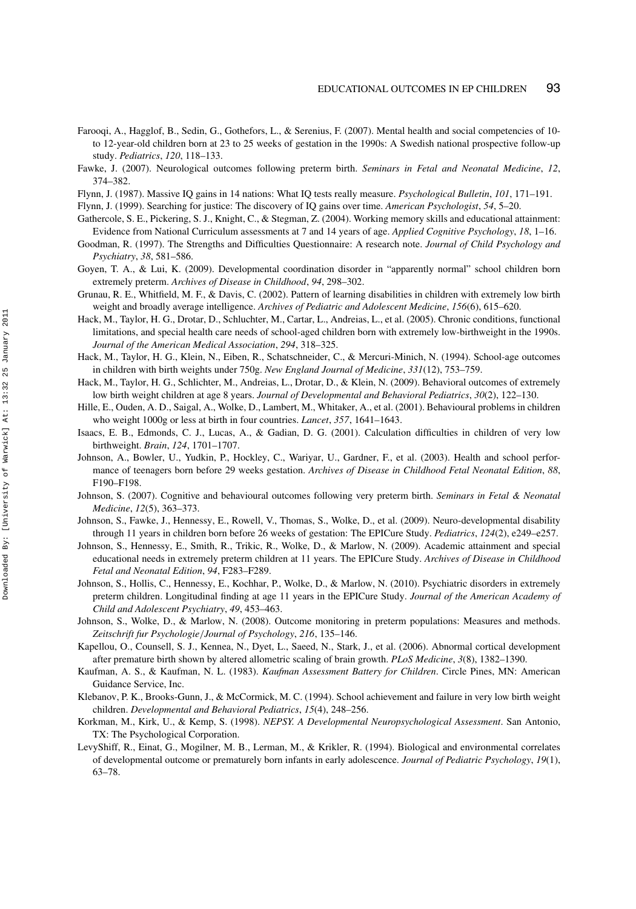- Farooqi, A., Hagglof, B., Sedin, G., Gothefors, L., & Serenius, F. (2007). Mental health and social competencies of 10 to 12-year-old children born at 23 to 25 weeks of gestation in the 1990s: A Swedish national prospective follow-up study. *Pediatrics*, *120*, 118–133.
- Fawke, J. (2007). Neurological outcomes following preterm birth. *Seminars in Fetal and Neonatal Medicine*, *12*, 374–382.
- Flynn, J. (1987). Massive IQ gains in 14 nations: What IQ tests really measure. *Psychological Bulletin*, *101*, 171–191.
- Flynn, J. (1999). Searching for justice: The discovery of IQ gains over time. *American Psychologist*, *54*, 5–20.
- Gathercole, S. E., Pickering, S. J., Knight, C., & Stegman, Z. (2004). Working memory skills and educational attainment: Evidence from National Curriculum assessments at 7 and 14 years of age. *Applied Cognitive Psychology*, *18*, 1–16.
- Goodman, R. (1997). The Strengths and Difficulties Questionnaire: A research note. *Journal of Child Psychology and Psychiatry*, *38*, 581–586.
- Goyen, T. A., & Lui, K. (2009). Developmental coordination disorder in "apparently normal" school children born extremely preterm. *Archives of Disease in Childhood*, *94*, 298–302.
- Grunau, R. E., Whitfield, M. F., & Davis, C. (2002). Pattern of learning disabilities in children with extremely low birth weight and broadly average intelligence. *Archives of Pediatric and Adolescent Medicine*, *156*(6), 615–620.
- Hack, M., Taylor, H. G., Drotar, D., Schluchter, M., Cartar, L., Andreias, L., et al. (2005). Chronic conditions, functional limitations, and special health care needs of school-aged children born with extremely low-birthweight in the 1990s. *Journal of the American Medical Association*, *294*, 318–325.
- Hack, M., Taylor, H. G., Klein, N., Eiben, R., Schatschneider, C., & Mercuri-Minich, N. (1994). School-age outcomes in children with birth weights under 750g. *New England Journal of Medicine*, *331*(12), 753–759.
- Hack, M., Taylor, H. G., Schlichter, M., Andreias, L., Drotar, D., & Klein, N. (2009). Behavioral outcomes of extremely low birth weight children at age 8 years. *Journal of Developmental and Behavioral Pediatrics*, *30*(2), 122–130.
- Hille, E., Ouden, A. D., Saigal, A., Wolke, D., Lambert, M., Whitaker, A., et al. (2001). Behavioural problems in children who weight 1000g or less at birth in four countries. *Lancet*, *357*, 1641–1643.
- Isaacs, E. B., Edmonds, C. J., Lucas, A., & Gadian, D. G. (2001). Calculation difficulties in children of very low birthweight. *Brain*, *124*, 1701–1707.
- Johnson, A., Bowler, U., Yudkin, P., Hockley, C., Wariyar, U., Gardner, F., et al. (2003). Health and school performance of teenagers born before 29 weeks gestation. *Archives of Disease in Childhood Fetal Neonatal Edition*, *88*, F190–F198.
- Johnson, S. (2007). Cognitive and behavioural outcomes following very preterm birth. *Seminars in Fetal & Neonatal Medicine*, *12*(5), 363–373.
- Johnson, S., Fawke, J., Hennessy, E., Rowell, V., Thomas, S., Wolke, D., et al. (2009). Neuro-developmental disability through 11 years in children born before 26 weeks of gestation: The EPICure Study. *Pediatrics*, *124*(2), e249–e257.
- Johnson, S., Hennessy, E., Smith, R., Trikic, R., Wolke, D., & Marlow, N. (2009). Academic attainment and special educational needs in extremely preterm children at 11 years. The EPICure Study. *Archives of Disease in Childhood Fetal and Neonatal Edition*, *94*, F283–F289.
- Johnson, S., Hollis, C., Hennessy, E., Kochhar, P., Wolke, D., & Marlow, N. (2010). Psychiatric disorders in extremely preterm children. Longitudinal finding at age 11 years in the EPICure Study. *Journal of the American Academy of Child and Adolescent Psychiatry*, *49*, 453–463.
- Johnson, S., Wolke, D., & Marlow, N. (2008). Outcome monitoring in preterm populations: Measures and methods. *Zeitschrift fur Psychologie/Journal of Psychology*, *216*, 135–146.
- Kapellou, O., Counsell, S. J., Kennea, N., Dyet, L., Saeed, N., Stark, J., et al. (2006). Abnormal cortical development after premature birth shown by altered allometric scaling of brain growth. *PLoS Medicine*, *3*(8), 1382–1390.
- Kaufman, A. S., & Kaufman, N. L. (1983). *Kaufman Assessment Battery for Children*. Circle Pines, MN: American Guidance Service, Inc.
- Klebanov, P. K., Brooks-Gunn, J., & McCormick, M. C. (1994). School achievement and failure in very low birth weight children. *Developmental and Behavioral Pediatrics*, *15*(4), 248–256.
- Korkman, M., Kirk, U., & Kemp, S. (1998). *NEPSY. A Developmental Neuropsychological Assessment*. San Antonio, TX: The Psychological Corporation.
- LevyShiff, R., Einat, G., Mogilner, M. B., Lerman, M., & Krikler, R. (1994). Biological and environmental correlates of developmental outcome or prematurely born infants in early adolescence. *Journal of Pediatric Psychology*, *19*(1), 63–78.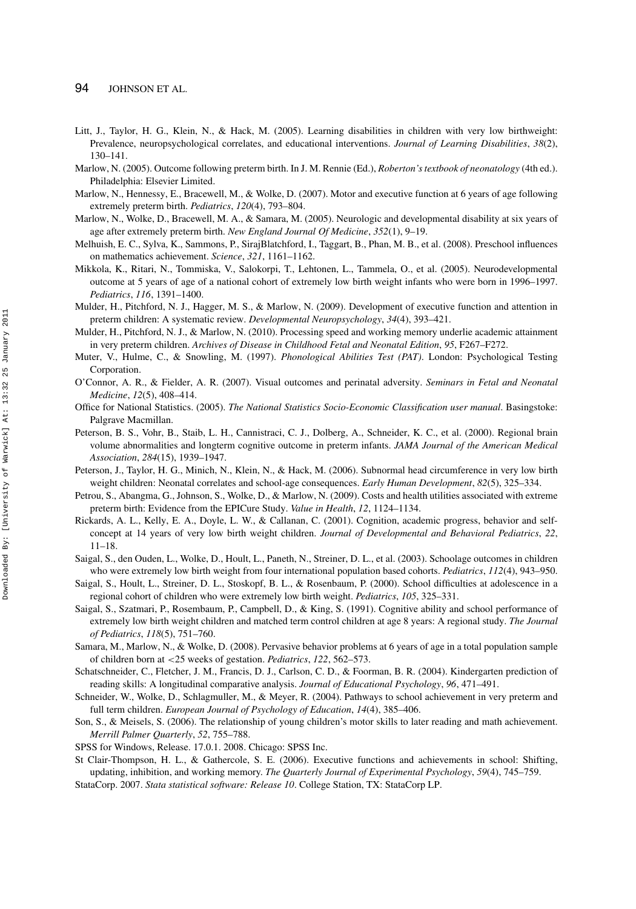- Litt, J., Taylor, H. G., Klein, N., & Hack, M. (2005). Learning disabilities in children with very low birthweight: Prevalence, neuropsychological correlates, and educational interventions. *Journal of Learning Disabilities*, *38*(2), 130–141.
- Marlow, N. (2005). Outcome following preterm birth. In J. M. Rennie (Ed.), *Roberton's textbook of neonatology* (4th ed.). Philadelphia: Elsevier Limited.
- Marlow, N., Hennessy, E., Bracewell, M., & Wolke, D. (2007). Motor and executive function at 6 years of age following extremely preterm birth. *Pediatrics*, *120*(4), 793–804.
- Marlow, N., Wolke, D., Bracewell, M. A., & Samara, M. (2005). Neurologic and developmental disability at six years of age after extremely preterm birth. *New England Journal Of Medicine*, *352*(1), 9–19.
- Melhuish, E. C., Sylva, K., Sammons, P., SirajBlatchford, I., Taggart, B., Phan, M. B., et al. (2008). Preschool influences on mathematics achievement. *Science*, *321*, 1161–1162.
- Mikkola, K., Ritari, N., Tommiska, V., Salokorpi, T., Lehtonen, L., Tammela, O., et al. (2005). Neurodevelopmental outcome at 5 years of age of a national cohort of extremely low birth weight infants who were born in 1996–1997. *Pediatrics*, *116*, 1391–1400.
- Mulder, H., Pitchford, N. J., Hagger, M. S., & Marlow, N. (2009). Development of executive function and attention in preterm children: A systematic review. *Developmental Neuropsychology*, *34*(4), 393–421.
- Mulder, H., Pitchford, N. J., & Marlow, N. (2010). Processing speed and working memory underlie academic attainment in very preterm children. *Archives of Disease in Childhood Fetal and Neonatal Edition*, *95*, F267–F272.
- Muter, V., Hulme, C., & Snowling, M. (1997). *Phonological Abilities Test (PAT)*. London: Psychological Testing Corporation.
- O'Connor, A. R., & Fielder, A. R. (2007). Visual outcomes and perinatal adversity. *Seminars in Fetal and Neonatal Medicine*, *12*(5), 408–414.
- Office for National Statistics. (2005). *The National Statistics Socio-Economic Classification user manual*. Basingstoke: Palgrave Macmillan.
- Peterson, B. S., Vohr, B., Staib, L. H., Cannistraci, C. J., Dolberg, A., Schneider, K. C., et al. (2000). Regional brain volume abnormalities and longterm cognitive outcome in preterm infants. *JAMA Journal of the American Medical Association*, *284*(15), 1939–1947.
- Peterson, J., Taylor, H. G., Minich, N., Klein, N., & Hack, M. (2006). Subnormal head circumference in very low birth weight children: Neonatal correlates and school-age consequences. *Early Human Development*, *82*(5), 325–334.
- Petrou, S., Abangma, G., Johnson, S., Wolke, D., & Marlow, N. (2009). Costs and health utilities associated with extreme preterm birth: Evidence from the EPICure Study. *Value in Health*, *12*, 1124–1134.
- Rickards, A. L., Kelly, E. A., Doyle, L. W., & Callanan, C. (2001). Cognition, academic progress, behavior and selfconcept at 14 years of very low birth weight children. *Journal of Developmental and Behavioral Pediatrics*, *22*, 11–18.
- Saigal, S., den Ouden, L., Wolke, D., Hoult, L., Paneth, N., Streiner, D. L., et al. (2003). Schoolage outcomes in children who were extremely low birth weight from four international population based cohorts. *Pediatrics*, *112*(4), 943–950.
- Saigal, S., Hoult, L., Streiner, D. L., Stoskopf, B. L., & Rosenbaum, P. (2000). School difficulties at adolescence in a regional cohort of children who were extremely low birth weight. *Pediatrics*, *105*, 325–331.
- Saigal, S., Szatmari, P., Rosembaum, P., Campbell, D., & King, S. (1991). Cognitive ability and school performance of extremely low birth weight children and matched term control children at age 8 years: A regional study. *The Journal of Pediatrics*, *118*(5), 751–760.
- Samara, M., Marlow, N., & Wolke, D. (2008). Pervasive behavior problems at 6 years of age in a total population sample of children born at *<*25 weeks of gestation. *Pediatrics*, *122*, 562–573.
- Schatschneider, C., Fletcher, J. M., Francis, D. J., Carlson, C. D., & Foorman, B. R. (2004). Kindergarten prediction of reading skills: A longitudinal comparative analysis. *Journal of Educational Psychology*, *96*, 471–491.
- Schneider, W., Wolke, D., Schlagmuller, M., & Meyer, R. (2004). Pathways to school achievement in very preterm and full term children. *European Journal of Psychology of Education*, *14*(4), 385–406.
- Son, S., & Meisels, S. (2006). The relationship of young children's motor skills to later reading and math achievement. *Merrill Palmer Quarterly*, *52*, 755–788.
- SPSS for Windows, Release. 17.0.1. 2008. Chicago: SPSS Inc.
- St Clair-Thompson, H. L., & Gathercole, S. E. (2006). Executive functions and achievements in school: Shifting, updating, inhibition, and working memory. *The Quarterly Journal of Experimental Psychology*, *59*(4), 745–759. StataCorp. 2007. *Stata statistical software: Release 10*. College Station, TX: StataCorp LP.